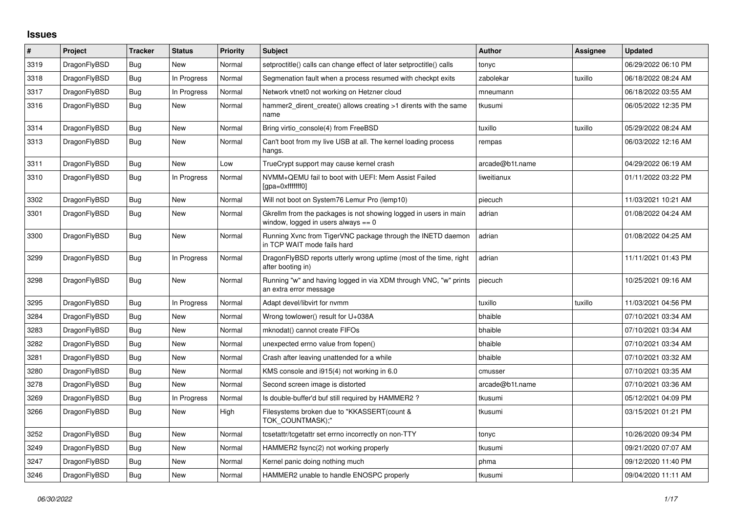## **Issues**

| $\vert$ # | Project      | Tracker    | <b>Status</b> | <b>Priority</b> | <b>Subject</b>                                                                                            | <b>Author</b>   | Assignee | <b>Updated</b>      |
|-----------|--------------|------------|---------------|-----------------|-----------------------------------------------------------------------------------------------------------|-----------------|----------|---------------------|
| 3319      | DragonFlyBSD | Bug        | <b>New</b>    | Normal          | setproctitle() calls can change effect of later setproctitle() calls                                      | tonyc           |          | 06/29/2022 06:10 PM |
| 3318      | DragonFlyBSD | <b>Bug</b> | In Progress   | Normal          | Segmenation fault when a process resumed with checkpt exits                                               | zabolekar       | tuxillo  | 06/18/2022 08:24 AM |
| 3317      | DragonFlyBSD | Bug        | In Progress   | Normal          | Network vtnet0 not working on Hetzner cloud                                                               | mneumann        |          | 06/18/2022 03:55 AM |
| 3316      | DragonFlyBSD | <b>Bug</b> | New           | Normal          | hammer2 dirent create() allows creating >1 dirents with the same<br>name                                  | tkusumi         |          | 06/05/2022 12:35 PM |
| 3314      | DragonFlyBSD | <b>Bug</b> | New           | Normal          | Bring virtio console(4) from FreeBSD                                                                      | tuxillo         | tuxillo  | 05/29/2022 08:24 AM |
| 3313      | DragonFlyBSD | Bug        | New           | Normal          | Can't boot from my live USB at all. The kernel loading process<br>hangs.                                  | rempas          |          | 06/03/2022 12:16 AM |
| 3311      | DragonFlyBSD | Bug        | <b>New</b>    | Low             | TrueCrypt support may cause kernel crash                                                                  | arcade@b1t.name |          | 04/29/2022 06:19 AM |
| 3310      | DragonFlyBSD | <b>Bug</b> | In Progress   | Normal          | NVMM+QEMU fail to boot with UEFI: Mem Assist Failed<br>[gpa=0xfffffff0]                                   | liweitianux     |          | 01/11/2022 03:22 PM |
| 3302      | DragonFlyBSD | <b>Bug</b> | New           | Normal          | Will not boot on System76 Lemur Pro (lemp10)                                                              | piecuch         |          | 11/03/2021 10:21 AM |
| 3301      | DragonFlyBSD | Bug        | New           | Normal          | Gkrellm from the packages is not showing logged in users in main<br>window, logged in users always $== 0$ | adrian          |          | 01/08/2022 04:24 AM |
| 3300      | DragonFlyBSD | <b>Bug</b> | <b>New</b>    | Normal          | Running Xvnc from TigerVNC package through the INETD daemon<br>in TCP WAIT mode fails hard                | adrian          |          | 01/08/2022 04:25 AM |
| 3299      | DragonFlyBSD | <b>Bug</b> | In Progress   | Normal          | DragonFlyBSD reports utterly wrong uptime (most of the time, right<br>after booting in)                   | adrian          |          | 11/11/2021 01:43 PM |
| 3298      | DragonFlyBSD | Bug        | <b>New</b>    | Normal          | Running "w" and having logged in via XDM through VNC, "w" prints<br>an extra error message                | piecuch         |          | 10/25/2021 09:16 AM |
| 3295      | DragonFlyBSD | <b>Bug</b> | In Progress   | Normal          | Adapt devel/libvirt for nvmm                                                                              | tuxillo         | tuxillo  | 11/03/2021 04:56 PM |
| 3284      | DragonFlyBSD | Bug        | New           | Normal          | Wrong towlower() result for U+038A                                                                        | bhaible         |          | 07/10/2021 03:34 AM |
| 3283      | DragonFlyBSD | Bug        | <b>New</b>    | Normal          | mknodat() cannot create FIFOs                                                                             | bhaible         |          | 07/10/2021 03:34 AM |
| 3282      | DragonFlyBSD | Bug        | New           | Normal          | unexpected errno value from fopen()                                                                       | bhaible         |          | 07/10/2021 03:34 AM |
| 3281      | DragonFlyBSD | Bug        | New           | Normal          | Crash after leaving unattended for a while                                                                | bhaible         |          | 07/10/2021 03:32 AM |
| 3280      | DragonFlyBSD | <b>Bug</b> | New           | Normal          | KMS console and i915(4) not working in 6.0                                                                | cmusser         |          | 07/10/2021 03:35 AM |
| 3278      | DragonFlyBSD | <b>Bug</b> | <b>New</b>    | Normal          | Second screen image is distorted                                                                          | arcade@b1t.name |          | 07/10/2021 03:36 AM |
| 3269      | DragonFlyBSD | Bug        | In Progress   | Normal          | Is double-buffer'd buf still required by HAMMER2?                                                         | tkusumi         |          | 05/12/2021 04:09 PM |
| 3266      | DragonFlyBSD | Bug        | <b>New</b>    | High            | Filesystems broken due to "KKASSERT(count &<br>TOK COUNTMASK);"                                           | tkusumi         |          | 03/15/2021 01:21 PM |
| 3252      | DragonFlyBSD | Bug        | <b>New</b>    | Normal          | tcsetattr/tcgetattr set errno incorrectly on non-TTY                                                      | tonyc           |          | 10/26/2020 09:34 PM |
| 3249      | DragonFlyBSD | <b>Bug</b> | New           | Normal          | HAMMER2 fsync(2) not working properly                                                                     | tkusumi         |          | 09/21/2020 07:07 AM |
| 3247      | DragonFlyBSD | <b>Bug</b> | <b>New</b>    | Normal          | Kernel panic doing nothing much                                                                           | phma            |          | 09/12/2020 11:40 PM |
| 3246      | DragonFlyBSD | <b>Bug</b> | New           | Normal          | HAMMER2 unable to handle ENOSPC properly                                                                  | tkusumi         |          | 09/04/2020 11:11 AM |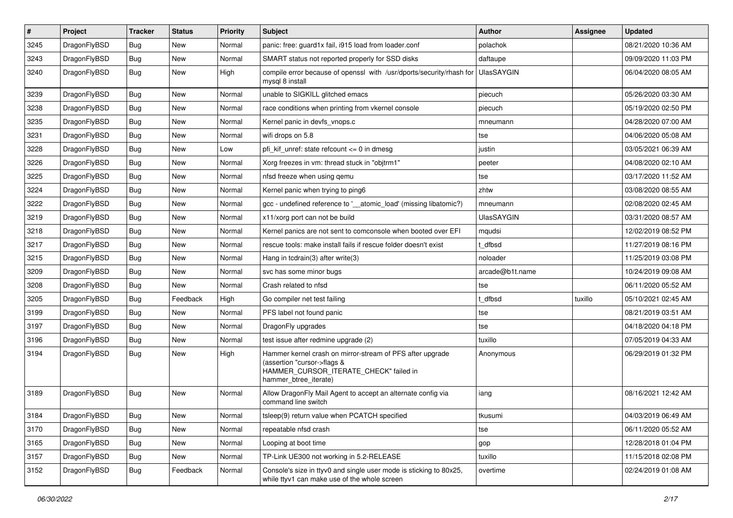| $\sharp$ | Project      | <b>Tracker</b> | <b>Status</b> | <b>Priority</b> | Subject                                                                                                                                                     | <b>Author</b>     | Assignee | <b>Updated</b>      |
|----------|--------------|----------------|---------------|-----------------|-------------------------------------------------------------------------------------------------------------------------------------------------------------|-------------------|----------|---------------------|
| 3245     | DragonFlyBSD | <b>Bug</b>     | New           | Normal          | panic: free: guard1x fail, i915 load from loader.conf                                                                                                       | polachok          |          | 08/21/2020 10:36 AM |
| 3243     | DragonFlyBSD | <b>Bug</b>     | <b>New</b>    | Normal          | SMART status not reported properly for SSD disks                                                                                                            | daftaupe          |          | 09/09/2020 11:03 PM |
| 3240     | DragonFlyBSD | <b>Bug</b>     | <b>New</b>    | High            | compile error because of openssl with /usr/dports/security/rhash for<br>mysql 8 install                                                                     | <b>UlasSAYGIN</b> |          | 06/04/2020 08:05 AM |
| 3239     | DragonFlyBSD | <b>Bug</b>     | New           | Normal          | unable to SIGKILL glitched emacs                                                                                                                            | piecuch           |          | 05/26/2020 03:30 AM |
| 3238     | DragonFlyBSD | <b>Bug</b>     | New           | Normal          | race conditions when printing from vkernel console                                                                                                          | piecuch           |          | 05/19/2020 02:50 PM |
| 3235     | DragonFlyBSD | <b>Bug</b>     | <b>New</b>    | Normal          | Kernel panic in devfs_vnops.c                                                                                                                               | mneumann          |          | 04/28/2020 07:00 AM |
| 3231     | DragonFlyBSD | <b>Bug</b>     | New           | Normal          | wifi drops on 5.8                                                                                                                                           | tse               |          | 04/06/2020 05:08 AM |
| 3228     | DragonFlyBSD | <b>Bug</b>     | <b>New</b>    | Low             | pfi_kif_unref: state refcount <= 0 in dmesg                                                                                                                 | justin            |          | 03/05/2021 06:39 AM |
| 3226     | DragonFlyBSD | <b>Bug</b>     | New           | Normal          | Xorg freezes in vm: thread stuck in "objtrm1"                                                                                                               | peeter            |          | 04/08/2020 02:10 AM |
| 3225     | DragonFlyBSD | <b>Bug</b>     | <b>New</b>    | Normal          | nfsd freeze when using gemu                                                                                                                                 | tse               |          | 03/17/2020 11:52 AM |
| 3224     | DragonFlyBSD | <b>Bug</b>     | New           | Normal          | Kernel panic when trying to ping6                                                                                                                           | zhtw              |          | 03/08/2020 08:55 AM |
| 3222     | DragonFlyBSD | <b>Bug</b>     | <b>New</b>    | Normal          | gcc - undefined reference to '__atomic_load' (missing libatomic?)                                                                                           | mneumann          |          | 02/08/2020 02:45 AM |
| 3219     | DragonFlyBSD | <b>Bug</b>     | <b>New</b>    | Normal          | x11/xorg port can not be build                                                                                                                              | <b>UlasSAYGIN</b> |          | 03/31/2020 08:57 AM |
| 3218     | DragonFlyBSD | <b>Bug</b>     | New           | Normal          | Kernel panics are not sent to comconsole when booted over EFI                                                                                               | mqudsi            |          | 12/02/2019 08:52 PM |
| 3217     | DragonFlyBSD | <b>Bug</b>     | <b>New</b>    | Normal          | rescue tools: make install fails if rescue folder doesn't exist                                                                                             | t dfbsd           |          | 11/27/2019 08:16 PM |
| 3215     | DragonFlyBSD | <b>Bug</b>     | New           | Normal          | Hang in tcdrain(3) after write(3)                                                                                                                           | noloader          |          | 11/25/2019 03:08 PM |
| 3209     | DragonFlyBSD | <b>Bug</b>     | New           | Normal          | svc has some minor bugs                                                                                                                                     | arcade@b1t.name   |          | 10/24/2019 09:08 AM |
| 3208     | DragonFlyBSD | <b>Bug</b>     | New           | Normal          | Crash related to nfsd                                                                                                                                       | tse               |          | 06/11/2020 05:52 AM |
| 3205     | DragonFlyBSD | <b>Bug</b>     | Feedback      | High            | Go compiler net test failing                                                                                                                                | t_dfbsd           | tuxillo  | 05/10/2021 02:45 AM |
| 3199     | DragonFlyBSD | <b>Bug</b>     | New           | Normal          | PFS label not found panic                                                                                                                                   | tse               |          | 08/21/2019 03:51 AM |
| 3197     | DragonFlyBSD | <b>Bug</b>     | New           | Normal          | DragonFly upgrades                                                                                                                                          | tse               |          | 04/18/2020 04:18 PM |
| 3196     | DragonFlyBSD | <b>Bug</b>     | New           | Normal          | test issue after redmine upgrade (2)                                                                                                                        | tuxillo           |          | 07/05/2019 04:33 AM |
| 3194     | DragonFlyBSD | <b>Bug</b>     | New           | High            | Hammer kernel crash on mirror-stream of PFS after upgrade<br>(assertion "cursor->flags &<br>HAMMER_CURSOR_ITERATE_CHECK" failed in<br>hammer_btree_iterate) | Anonymous         |          | 06/29/2019 01:32 PM |
| 3189     | DragonFlyBSD | Bug            | New           | Normal          | Allow DragonFly Mail Agent to accept an alternate config via<br>command line switch                                                                         | iang              |          | 08/16/2021 12:42 AM |
| 3184     | DragonFlyBSD | <b>Bug</b>     | <b>New</b>    | Normal          | tsleep(9) return value when PCATCH specified                                                                                                                | tkusumi           |          | 04/03/2019 06:49 AM |
| 3170     | DragonFlyBSD | <b>Bug</b>     | <b>New</b>    | Normal          | repeatable nfsd crash                                                                                                                                       | tse               |          | 06/11/2020 05:52 AM |
| 3165     | DragonFlyBSD | <b>Bug</b>     | New           | Normal          | Looping at boot time                                                                                                                                        | gop               |          | 12/28/2018 01:04 PM |
| 3157     | DragonFlyBSD | <b>Bug</b>     | New           | Normal          | TP-Link UE300 not working in 5.2-RELEASE                                                                                                                    | tuxillo           |          | 11/15/2018 02:08 PM |
| 3152     | DragonFlyBSD | <b>Bug</b>     | Feedback      | Normal          | Console's size in ttyv0 and single user mode is sticking to 80x25,<br>while ttyv1 can make use of the whole screen                                          | overtime          |          | 02/24/2019 01:08 AM |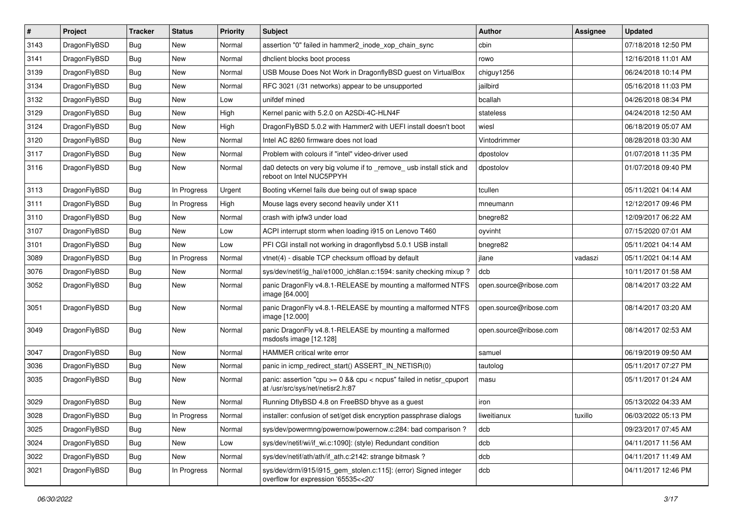| $\sharp$ | Project      | <b>Tracker</b> | <b>Status</b> | <b>Priority</b> | <b>Subject</b>                                                                                          | <b>Author</b>          | <b>Assignee</b> | <b>Updated</b>      |
|----------|--------------|----------------|---------------|-----------------|---------------------------------------------------------------------------------------------------------|------------------------|-----------------|---------------------|
| 3143     | DragonFlyBSD | <b>Bug</b>     | New           | Normal          | assertion "0" failed in hammer2 inode xop chain sync                                                    | cbin                   |                 | 07/18/2018 12:50 PM |
| 3141     | DragonFlyBSD | <b>Bug</b>     | <b>New</b>    | Normal          | dhclient blocks boot process                                                                            | rowo                   |                 | 12/16/2018 11:01 AM |
| 3139     | DragonFlyBSD | <b>Bug</b>     | <b>New</b>    | Normal          | USB Mouse Does Not Work in DragonflyBSD guest on VirtualBox                                             | chiguy1256             |                 | 06/24/2018 10:14 PM |
| 3134     | DragonFlyBSD | <b>Bug</b>     | New           | Normal          | RFC 3021 (/31 networks) appear to be unsupported                                                        | jailbird               |                 | 05/16/2018 11:03 PM |
| 3132     | DragonFlyBSD | <b>Bug</b>     | <b>New</b>    | Low             | unifdef mined                                                                                           | bcallah                |                 | 04/26/2018 08:34 PM |
| 3129     | DragonFlyBSD | <b>Bug</b>     | New           | High            | Kernel panic with 5.2.0 on A2SDi-4C-HLN4F                                                               | stateless              |                 | 04/24/2018 12:50 AM |
| 3124     | DragonFlyBSD | <b>Bug</b>     | New           | High            | DragonFlyBSD 5.0.2 with Hammer2 with UEFI install doesn't boot                                          | wiesl                  |                 | 06/18/2019 05:07 AM |
| 3120     | DragonFlyBSD | <b>Bug</b>     | <b>New</b>    | Normal          | Intel AC 8260 firmware does not load                                                                    | Vintodrimmer           |                 | 08/28/2018 03:30 AM |
| 3117     | DragonFlyBSD | <b>Bug</b>     | New           | Normal          | Problem with colours if "intel" video-driver used                                                       | dpostolov              |                 | 01/07/2018 11:35 PM |
| 3116     | DragonFlyBSD | <b>Bug</b>     | New           | Normal          | da0 detects on very big volume if to _remove_ usb install stick and<br>reboot on Intel NUC5PPYH         | dpostolov              |                 | 01/07/2018 09:40 PM |
| 3113     | DragonFlyBSD | <b>Bug</b>     | In Progress   | Urgent          | Booting vKernel fails due being out of swap space                                                       | tcullen                |                 | 05/11/2021 04:14 AM |
| 3111     | DragonFlyBSD | <b>Bug</b>     | In Progress   | High            | Mouse lags every second heavily under X11                                                               | mneumann               |                 | 12/12/2017 09:46 PM |
| 3110     | DragonFlyBSD | <b>Bug</b>     | <b>New</b>    | Normal          | crash with ipfw3 under load                                                                             | bnegre82               |                 | 12/09/2017 06:22 AM |
| 3107     | DragonFlyBSD | <b>Bug</b>     | New           | Low             | ACPI interrupt storm when loading i915 on Lenovo T460                                                   | oyvinht                |                 | 07/15/2020 07:01 AM |
| 3101     | DragonFlyBSD | <b>Bug</b>     | New           | Low             | PFI CGI install not working in dragonflybsd 5.0.1 USB install                                           | bnegre82               |                 | 05/11/2021 04:14 AM |
| 3089     | DragonFlyBSD | <b>Bug</b>     | In Progress   | Normal          | vtnet(4) - disable TCP checksum offload by default                                                      | jlane                  | vadaszi         | 05/11/2021 04:14 AM |
| 3076     | DragonFlyBSD | Bug            | New           | Normal          | sys/dev/netif/ig_hal/e1000_ich8lan.c:1594: sanity checking mixup ?                                      | dcb                    |                 | 10/11/2017 01:58 AM |
| 3052     | DragonFlyBSD | <b>Bug</b>     | New           | Normal          | panic DragonFly v4.8.1-RELEASE by mounting a malformed NTFS<br>image [64.000]                           | open.source@ribose.com |                 | 08/14/2017 03:22 AM |
| 3051     | DragonFlyBSD | Bug            | New           | Normal          | panic DragonFly v4.8.1-RELEASE by mounting a malformed NTFS<br>image [12.000]                           | open.source@ribose.com |                 | 08/14/2017 03:20 AM |
| 3049     | DragonFlyBSD | Bug            | New           | Normal          | panic DragonFly v4.8.1-RELEASE by mounting a malformed<br>msdosfs image [12.128]                        | open.source@ribose.com |                 | 08/14/2017 02:53 AM |
| 3047     | DragonFlyBSD | Bug            | <b>New</b>    | Normal          | <b>HAMMER</b> critical write error                                                                      | samuel                 |                 | 06/19/2019 09:50 AM |
| 3036     | DragonFlyBSD | Bug            | <b>New</b>    | Normal          | panic in icmp_redirect_start() ASSERT_IN_NETISR(0)                                                      | tautolog               |                 | 05/11/2017 07:27 PM |
| 3035     | DragonFlyBSD | Bug            | New           | Normal          | panic: assertion "cpu >= 0 && cpu < ncpus" failed in netisr_cpuport<br>at /usr/src/sys/net/netisr2.h:87 | masu                   |                 | 05/11/2017 01:24 AM |
| 3029     | DragonFlyBSD | Bug            | New           | Normal          | Running DflyBSD 4.8 on FreeBSD bhyve as a guest                                                         | iron                   |                 | 05/13/2022 04:33 AM |
| 3028     | DragonFlyBSD | <b>Bug</b>     | In Progress   | Normal          | installer: confusion of set/get disk encryption passphrase dialogs                                      | liweitianux            | tuxillo         | 06/03/2022 05:13 PM |
| 3025     | DragonFlyBSD | <b>Bug</b>     | New           | Normal          | sys/dev/powermng/powernow/powernow.c:284: bad comparison?                                               | dcb                    |                 | 09/23/2017 07:45 AM |
| 3024     | DragonFlyBSD | <b>Bug</b>     | New           | Low             | sys/dev/netif/wi/if_wi.c:1090]: (style) Redundant condition                                             | dcb                    |                 | 04/11/2017 11:56 AM |
| 3022     | DragonFlyBSD | <b>Bug</b>     | New           | Normal          | sys/dev/netif/ath/ath/if_ath.c:2142: strange bitmask?                                                   | dcb                    |                 | 04/11/2017 11:49 AM |
| 3021     | DragonFlyBSD | Bug            | In Progress   | Normal          | sys/dev/drm/i915/i915_gem_stolen.c:115]: (error) Signed integer<br>overflow for expression '65535<<20'  | dcb                    |                 | 04/11/2017 12:46 PM |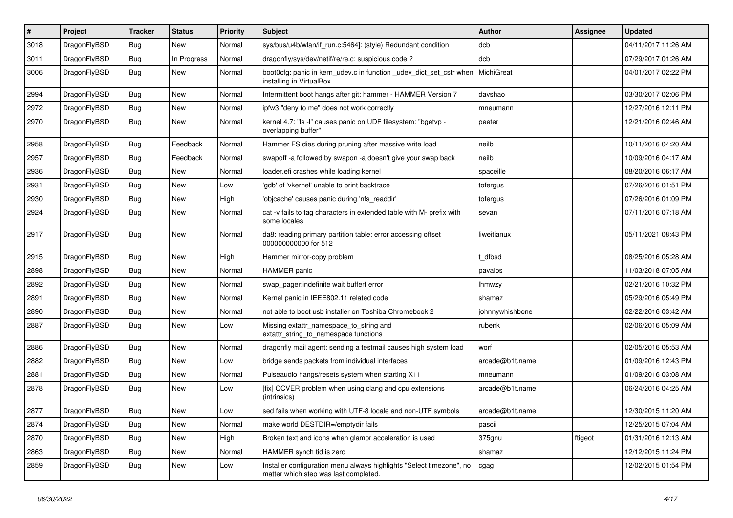| $\sharp$ | Project      | <b>Tracker</b> | <b>Status</b> | <b>Priority</b> | Subject                                                                                                       | <b>Author</b>   | Assignee | <b>Updated</b>      |
|----------|--------------|----------------|---------------|-----------------|---------------------------------------------------------------------------------------------------------------|-----------------|----------|---------------------|
| 3018     | DragonFlyBSD | Bug            | New           | Normal          | sys/bus/u4b/wlan/if_run.c:5464]: (style) Redundant condition                                                  | dcb             |          | 04/11/2017 11:26 AM |
| 3011     | DragonFlyBSD | Bug            | In Progress   | Normal          | dragonfly/sys/dev/netif/re/re.c: suspicious code?                                                             | dcb             |          | 07/29/2017 01:26 AM |
| 3006     | DragonFlyBSD | Bug            | New           | Normal          | boot0cfg: panic in kern_udev.c in function _udev_dict_set_cstr when<br>installing in VirtualBox               | MichiGreat      |          | 04/01/2017 02:22 PM |
| 2994     | DragonFlyBSD | Bug            | <b>New</b>    | Normal          | Intermittent boot hangs after git: hammer - HAMMER Version 7                                                  | davshao         |          | 03/30/2017 02:06 PM |
| 2972     | DragonFlyBSD | <b>Bug</b>     | New           | Normal          | ipfw3 "deny to me" does not work correctly                                                                    | mneumann        |          | 12/27/2016 12:11 PM |
| 2970     | DragonFlyBSD | <b>Bug</b>     | New           | Normal          | kernel 4.7: "Is -I" causes panic on UDF filesystem: "bgetvp -<br>overlapping buffer"                          | peeter          |          | 12/21/2016 02:46 AM |
| 2958     | DragonFlyBSD | <b>Bug</b>     | Feedback      | Normal          | Hammer FS dies during pruning after massive write load                                                        | neilb           |          | 10/11/2016 04:20 AM |
| 2957     | DragonFlyBSD | <b>Bug</b>     | Feedback      | Normal          | swapoff -a followed by swapon -a doesn't give your swap back                                                  | neilb           |          | 10/09/2016 04:17 AM |
| 2936     | DragonFlyBSD | <b>Bug</b>     | New           | Normal          | loader.efi crashes while loading kernel                                                                       | spaceille       |          | 08/20/2016 06:17 AM |
| 2931     | DragonFlyBSD | <b>Bug</b>     | New           | Low             | 'gdb' of 'vkernel' unable to print backtrace                                                                  | tofergus        |          | 07/26/2016 01:51 PM |
| 2930     | DragonFlyBSD | <b>Bug</b>     | New           | High            | 'objcache' causes panic during 'nfs_readdir'                                                                  | tofergus        |          | 07/26/2016 01:09 PM |
| 2924     | DragonFlyBSD | <b>Bug</b>     | New           | Normal          | cat -v fails to tag characters in extended table with M- prefix with<br>some locales                          | sevan           |          | 07/11/2016 07:18 AM |
| 2917     | DragonFlyBSD | <b>Bug</b>     | <b>New</b>    | Normal          | da8: reading primary partition table: error accessing offset<br>000000000000 for 512                          | liweitianux     |          | 05/11/2021 08:43 PM |
| 2915     | DragonFlyBSD | <b>Bug</b>     | New           | High            | Hammer mirror-copy problem                                                                                    | t dfbsd         |          | 08/25/2016 05:28 AM |
| 2898     | DragonFlyBSD | <b>Bug</b>     | New           | Normal          | <b>HAMMER</b> panic                                                                                           | pavalos         |          | 11/03/2018 07:05 AM |
| 2892     | DragonFlyBSD | <b>Bug</b>     | New           | Normal          | swap pager:indefinite wait bufferf error                                                                      | lhmwzy          |          | 02/21/2016 10:32 PM |
| 2891     | DragonFlyBSD | <b>Bug</b>     | <b>New</b>    | Normal          | Kernel panic in IEEE802.11 related code                                                                       | shamaz          |          | 05/29/2016 05:49 PM |
| 2890     | DragonFlyBSD | <b>Bug</b>     | New           | Normal          | not able to boot usb installer on Toshiba Chromebook 2                                                        | johnnywhishbone |          | 02/22/2016 03:42 AM |
| 2887     | DragonFlyBSD | <b>Bug</b>     | New           | Low             | Missing extattr_namespace_to_string and<br>extattr_string_to_namespace functions                              | rubenk          |          | 02/06/2016 05:09 AM |
| 2886     | DragonFlyBSD | <b>Bug</b>     | <b>New</b>    | Normal          | dragonfly mail agent: sending a testmail causes high system load                                              | worf            |          | 02/05/2016 05:53 AM |
| 2882     | DragonFlyBSD | <b>Bug</b>     | New           | Low             | bridge sends packets from individual interfaces                                                               | arcade@b1t.name |          | 01/09/2016 12:43 PM |
| 2881     | DragonFlyBSD | <b>Bug</b>     | New           | Normal          | Pulseaudio hangs/resets system when starting X11                                                              | mneumann        |          | 01/09/2016 03:08 AM |
| 2878     | DragonFlyBSD | <b>Bug</b>     | <b>New</b>    | Low             | [fix] CCVER problem when using clang and cpu extensions<br>(intrinsics)                                       | arcade@b1t.name |          | 06/24/2016 04:25 AM |
| 2877     | DragonFlyBSD | Bug            | <b>New</b>    | Low             | sed fails when working with UTF-8 locale and non-UTF symbols                                                  | arcade@b1t.name |          | 12/30/2015 11:20 AM |
| 2874     | DragonFlyBSD | <b>Bug</b>     | New           | Normal          | make world DESTDIR=/emptydir fails                                                                            | pascii          |          | 12/25/2015 07:04 AM |
| 2870     | DragonFlyBSD | <b>Bug</b>     | New           | High            | Broken text and icons when glamor acceleration is used                                                        | 375gnu          | ftigeot  | 01/31/2016 12:13 AM |
| 2863     | DragonFlyBSD | <b>Bug</b>     | <b>New</b>    | Normal          | HAMMER synch tid is zero                                                                                      | shamaz          |          | 12/12/2015 11:24 PM |
| 2859     | DragonFlyBSD | <b>Bug</b>     | New           | Low             | Installer configuration menu always highlights "Select timezone", no<br>matter which step was last completed. | cgag            |          | 12/02/2015 01:54 PM |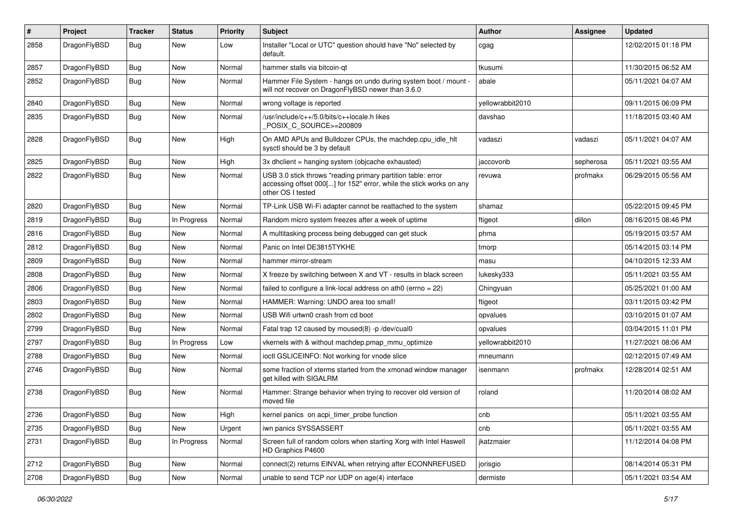| #    | Project      | <b>Tracker</b> | <b>Status</b> | <b>Priority</b> | <b>Subject</b>                                                                                                                                           | Author           | Assignee  | <b>Updated</b>      |
|------|--------------|----------------|---------------|-----------------|----------------------------------------------------------------------------------------------------------------------------------------------------------|------------------|-----------|---------------------|
| 2858 | DragonFlyBSD | Bug            | <b>New</b>    | Low             | Installer "Local or UTC" question should have "No" selected by<br>default.                                                                               | cgag             |           | 12/02/2015 01:18 PM |
| 2857 | DragonFlyBSD | Bug            | <b>New</b>    | Normal          | hammer stalls via bitcoin-qt                                                                                                                             | tkusumi          |           | 11/30/2015 06:52 AM |
| 2852 | DragonFlyBSD | Bug            | New           | Normal          | Hammer File System - hangs on undo during system boot / mount -<br>will not recover on DragonFlyBSD newer than 3.6.0                                     | abale            |           | 05/11/2021 04:07 AM |
| 2840 | DragonFlyBSD | <b>Bug</b>     | <b>New</b>    | Normal          | wrong voltage is reported                                                                                                                                | yellowrabbit2010 |           | 09/11/2015 06:09 PM |
| 2835 | DragonFlyBSD | Bug            | New           | Normal          | /usr/include/c++/5.0/bits/c++locale.h likes<br>POSIX C_SOURCE>=200809                                                                                    | davshao          |           | 11/18/2015 03:40 AM |
| 2828 | DragonFlyBSD | <b>Bug</b>     | <b>New</b>    | High            | On AMD APUs and Bulldozer CPUs, the machdep.cpu idle hlt<br>sysctl should be 3 by default                                                                | vadaszi          | vadaszi   | 05/11/2021 04:07 AM |
| 2825 | DragonFlyBSD | <b>Bug</b>     | <b>New</b>    | High            | 3x dhclient = hanging system (objcache exhausted)                                                                                                        | jaccovonb        | sepherosa | 05/11/2021 03:55 AM |
| 2822 | DragonFlyBSD | <b>Bug</b>     | New           | Normal          | USB 3.0 stick throws "reading primary partition table: error<br>accessing offset 000[] for 152" error, while the stick works on any<br>other OS I tested | revuwa           | profmakx  | 06/29/2015 05:56 AM |
| 2820 | DragonFlyBSD | <b>Bug</b>     | <b>New</b>    | Normal          | TP-Link USB Wi-Fi adapter cannot be reattached to the system                                                                                             | shamaz           |           | 05/22/2015 09:45 PM |
| 2819 | DragonFlyBSD | Bug            | In Progress   | Normal          | Random micro system freezes after a week of uptime                                                                                                       | ftigeot          | dillon    | 08/16/2015 08:46 PM |
| 2816 | DragonFlyBSD | <b>Bug</b>     | New           | Normal          | A multitasking process being debugged can get stuck                                                                                                      | phma             |           | 05/19/2015 03:57 AM |
| 2812 | DragonFlyBSD | <b>Bug</b>     | <b>New</b>    | Normal          | Panic on Intel DE3815TYKHE                                                                                                                               | tmorp            |           | 05/14/2015 03:14 PM |
| 2809 | DragonFlyBSD | <b>Bug</b>     | New           | Normal          | hammer mirror-stream                                                                                                                                     | masu             |           | 04/10/2015 12:33 AM |
| 2808 | DragonFlyBSD | <b>Bug</b>     | New           | Normal          | X freeze by switching between X and VT - results in black screen                                                                                         | lukesky333       |           | 05/11/2021 03:55 AM |
| 2806 | DragonFlyBSD | Bug            | <b>New</b>    | Normal          | failed to configure a link-local address on ath0 (errno = 22)                                                                                            | Chingyuan        |           | 05/25/2021 01:00 AM |
| 2803 | DragonFlyBSD | <b>Bug</b>     | New           | Normal          | HAMMER: Warning: UNDO area too small!                                                                                                                    | ftigeot          |           | 03/11/2015 03:42 PM |
| 2802 | DragonFlyBSD | <b>Bug</b>     | New           | Normal          | USB Wifi urtwn0 crash from cd boot                                                                                                                       | opvalues         |           | 03/10/2015 01:07 AM |
| 2799 | DragonFlyBSD | <b>Bug</b>     | New           | Normal          | Fatal trap 12 caused by moused(8) -p /dev/cual0                                                                                                          | opvalues         |           | 03/04/2015 11:01 PM |
| 2797 | DragonFlyBSD | <b>Bug</b>     | In Progress   | Low             | vkernels with & without machdep.pmap_mmu_optimize                                                                                                        | yellowrabbit2010 |           | 11/27/2021 08:06 AM |
| 2788 | DragonFlyBSD | <b>Bug</b>     | <b>New</b>    | Normal          | ioctl GSLICEINFO: Not working for vnode slice                                                                                                            | mneumann         |           | 02/12/2015 07:49 AM |
| 2746 | DragonFlyBSD | Bug            | <b>New</b>    | Normal          | some fraction of xterms started from the xmonad window manager<br>get killed with SIGALRM                                                                | isenmann         | profmakx  | 12/28/2014 02:51 AM |
| 2738 | DragonFlyBSD | Bug            | <b>New</b>    | Normal          | Hammer: Strange behavior when trying to recover old version of<br>moved file                                                                             | roland           |           | 11/20/2014 08:02 AM |
| 2736 | DragonFlyBSD | <b>Bug</b>     | New           | High            | kernel panics on acpi_timer_probe function                                                                                                               | cnb              |           | 05/11/2021 03:55 AM |
| 2735 | DragonFlyBSD | Bug            | New           | Urgent          | iwn panics SYSSASSERT                                                                                                                                    | cnb              |           | 05/11/2021 03:55 AM |
| 2731 | DragonFlyBSD | <b>Bug</b>     | In Progress   | Normal          | Screen full of random colors when starting Xorg with Intel Haswell<br>HD Graphics P4600                                                                  | jkatzmaier       |           | 11/12/2014 04:08 PM |
| 2712 | DragonFlyBSD | <b>Bug</b>     | New           | Normal          | connect(2) returns EINVAL when retrying after ECONNREFUSED                                                                                               | jorisgio         |           | 08/14/2014 05:31 PM |
| 2708 | DragonFlyBSD | <b>Bug</b>     | New           | Normal          | unable to send TCP nor UDP on age(4) interface                                                                                                           | dermiste         |           | 05/11/2021 03:54 AM |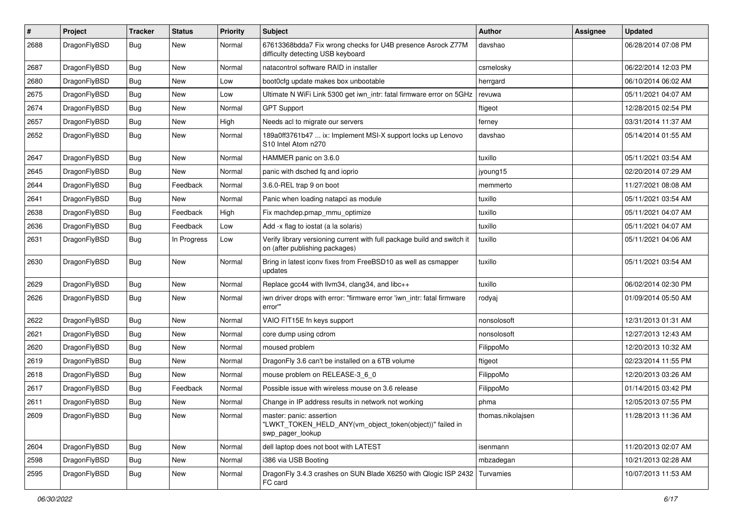| $\#$ | Project      | <b>Tracker</b> | <b>Status</b> | <b>Priority</b> | Subject                                                                                                   | <b>Author</b>     | <b>Assignee</b> | <b>Updated</b>      |
|------|--------------|----------------|---------------|-----------------|-----------------------------------------------------------------------------------------------------------|-------------------|-----------------|---------------------|
| 2688 | DragonFlyBSD | Bug            | <b>New</b>    | Normal          | 67613368bdda7 Fix wrong checks for U4B presence Asrock Z77M<br>difficulty detecting USB keyboard          | davshao           |                 | 06/28/2014 07:08 PM |
| 2687 | DragonFlyBSD | <b>Bug</b>     | <b>New</b>    | Normal          | natacontrol software RAID in installer                                                                    | csmelosky         |                 | 06/22/2014 12:03 PM |
| 2680 | DragonFlyBSD | <b>Bug</b>     | New           | Low             | boot0cfg update makes box unbootable                                                                      | herrgard          |                 | 06/10/2014 06:02 AM |
| 2675 | DragonFlyBSD | <b>Bug</b>     | <b>New</b>    | Low             | Ultimate N WiFi Link 5300 get iwn_intr: fatal firmware error on 5GHz                                      | revuwa            |                 | 05/11/2021 04:07 AM |
| 2674 | DragonFlyBSD | <b>Bug</b>     | <b>New</b>    | Normal          | <b>GPT Support</b>                                                                                        | ftigeot           |                 | 12/28/2015 02:54 PM |
| 2657 | DragonFlyBSD | <b>Bug</b>     | <b>New</b>    | High            | Needs acl to migrate our servers                                                                          | ferney            |                 | 03/31/2014 11:37 AM |
| 2652 | DragonFlyBSD | <b>Bug</b>     | <b>New</b>    | Normal          | 189a0ff3761b47  ix: Implement MSI-X support locks up Lenovo<br>S10 Intel Atom n270                        | davshao           |                 | 05/14/2014 01:55 AM |
| 2647 | DragonFlyBSD | <b>Bug</b>     | <b>New</b>    | Normal          | HAMMER panic on 3.6.0                                                                                     | tuxillo           |                 | 05/11/2021 03:54 AM |
| 2645 | DragonFlyBSD | <b>Bug</b>     | <b>New</b>    | Normal          | panic with dsched fq and ioprio                                                                           | jyoung15          |                 | 02/20/2014 07:29 AM |
| 2644 | DragonFlyBSD | <b>Bug</b>     | Feedback      | Normal          | 3.6.0-REL trap 9 on boot                                                                                  | memmerto          |                 | 11/27/2021 08:08 AM |
| 2641 | DragonFlyBSD | <b>Bug</b>     | New           | Normal          | Panic when loading natapci as module                                                                      | tuxillo           |                 | 05/11/2021 03:54 AM |
| 2638 | DragonFlyBSD | <b>Bug</b>     | Feedback      | High            | Fix machdep.pmap_mmu_optimize                                                                             | tuxillo           |                 | 05/11/2021 04:07 AM |
| 2636 | DragonFlyBSD | <b>Bug</b>     | Feedback      | Low             | Add -x flag to iostat (a la solaris)                                                                      | tuxillo           |                 | 05/11/2021 04:07 AM |
| 2631 | DragonFlyBSD | <b>Bug</b>     | In Progress   | Low             | Verify library versioning current with full package build and switch it<br>on (after publishing packages) | tuxillo           |                 | 05/11/2021 04:06 AM |
| 2630 | DragonFlyBSD | Bug            | <b>New</b>    | Normal          | Bring in latest iconv fixes from FreeBSD10 as well as csmapper<br>updates                                 | tuxillo           |                 | 05/11/2021 03:54 AM |
| 2629 | DragonFlyBSD | <b>Bug</b>     | <b>New</b>    | Normal          | Replace gcc44 with llvm34, clang34, and libc++                                                            | tuxillo           |                 | 06/02/2014 02:30 PM |
| 2626 | DragonFlyBSD | <b>Bug</b>     | <b>New</b>    | Normal          | iwn driver drops with error: "firmware error 'iwn_intr: fatal firmware<br>error""                         | rodyaj            |                 | 01/09/2014 05:50 AM |
| 2622 | DragonFlyBSD | <b>Bug</b>     | <b>New</b>    | Normal          | VAIO FIT15E fn keys support                                                                               | nonsolosoft       |                 | 12/31/2013 01:31 AM |
| 2621 | DragonFlyBSD | <b>Bug</b>     | <b>New</b>    | Normal          | core dump using cdrom                                                                                     | nonsolosoft       |                 | 12/27/2013 12:43 AM |
| 2620 | DragonFlyBSD | <b>Bug</b>     | <b>New</b>    | Normal          | moused problem                                                                                            | FilippoMo         |                 | 12/20/2013 10:32 AM |
| 2619 | DragonFlyBSD | <b>Bug</b>     | <b>New</b>    | Normal          | DragonFly 3.6 can't be installed on a 6TB volume                                                          | ftigeot           |                 | 02/23/2014 11:55 PM |
| 2618 | DragonFlyBSD | <b>Bug</b>     | New           | Normal          | mouse problem on RELEASE-3_6_0                                                                            | FilippoMo         |                 | 12/20/2013 03:26 AM |
| 2617 | DragonFlyBSD | <b>Bug</b>     | Feedback      | Normal          | Possible issue with wireless mouse on 3.6 release                                                         | FilippoMo         |                 | 01/14/2015 03:42 PM |
| 2611 | DragonFlyBSD | <b>Bug</b>     | <b>New</b>    | Normal          | Change in IP address results in network not working                                                       | phma              |                 | 12/05/2013 07:55 PM |
| 2609 | DragonFlyBSD | <b>Bug</b>     | New           | Normal          | master: panic: assertion<br>"LWKT_TOKEN_HELD_ANY(vm_object_token(object))" failed in<br>swp pager lookup  | thomas.nikolajsen |                 | 11/28/2013 11:36 AM |
| 2604 | DragonFlyBSD | <b>Bug</b>     | New           | Normal          | dell laptop does not boot with LATEST                                                                     | isenmann          |                 | 11/20/2013 02:07 AM |
| 2598 | DragonFlyBSD | <b>Bug</b>     | New           | Normal          | i386 via USB Booting                                                                                      | mbzadegan         |                 | 10/21/2013 02:28 AM |
| 2595 | DragonFlyBSD | <b>Bug</b>     | New           | Normal          | DragonFly 3.4.3 crashes on SUN Blade X6250 with Qlogic ISP 2432<br>FC card                                | Turvamies         |                 | 10/07/2013 11:53 AM |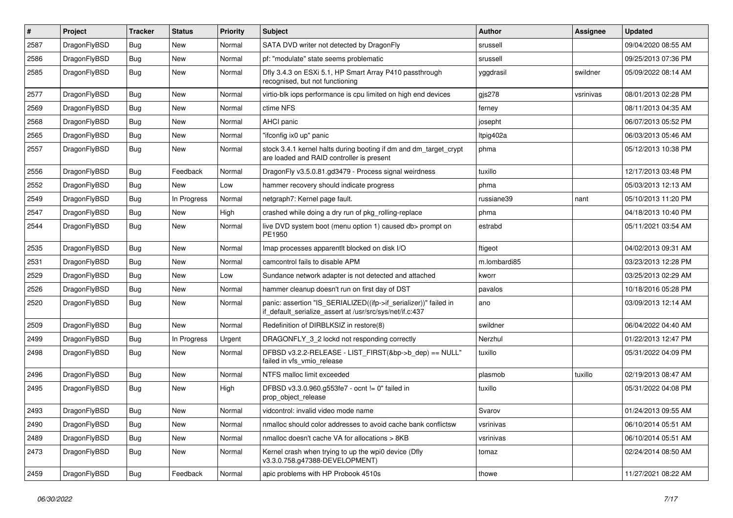| $\pmb{\#}$ | Project      | <b>Tracker</b> | <b>Status</b> | <b>Priority</b> | Subject                                                                                                                      | <b>Author</b> | Assignee  | <b>Updated</b>      |
|------------|--------------|----------------|---------------|-----------------|------------------------------------------------------------------------------------------------------------------------------|---------------|-----------|---------------------|
| 2587       | DragonFlyBSD | Bug            | <b>New</b>    | Normal          | SATA DVD writer not detected by DragonFly                                                                                    | srussell      |           | 09/04/2020 08:55 AM |
| 2586       | DragonFlyBSD | Bug            | <b>New</b>    | Normal          | pf: "modulate" state seems problematic                                                                                       | srussell      |           | 09/25/2013 07:36 PM |
| 2585       | DragonFlyBSD | Bug            | <b>New</b>    | Normal          | Dfly 3.4.3 on ESXi 5.1, HP Smart Array P410 passthrough<br>recognised, but not functioning                                   | yggdrasil     | swildner  | 05/09/2022 08:14 AM |
| 2577       | DragonFlyBSD | Bug            | <b>New</b>    | Normal          | virtio-blk iops performance is cpu limited on high end devices                                                               | gjs278        | vsrinivas | 08/01/2013 02:28 PM |
| 2569       | DragonFlyBSD | Bug            | New           | Normal          | ctime NFS                                                                                                                    | ferney        |           | 08/11/2013 04:35 AM |
| 2568       | DragonFlyBSD | Bug            | <b>New</b>    | Normal          | AHCI panic                                                                                                                   | josepht       |           | 06/07/2013 05:52 PM |
| 2565       | DragonFlyBSD | Bug            | <b>New</b>    | Normal          | "ifconfig ix0 up" panic                                                                                                      | Itpig402a     |           | 06/03/2013 05:46 AM |
| 2557       | DragonFlyBSD | Bug            | <b>New</b>    | Normal          | stock 3.4.1 kernel halts during booting if dm and dm_target_crypt<br>are loaded and RAID controller is present               | phma          |           | 05/12/2013 10:38 PM |
| 2556       | DragonFlyBSD | Bug            | Feedback      | Normal          | DragonFly v3.5.0.81.gd3479 - Process signal weirdness                                                                        | tuxillo       |           | 12/17/2013 03:48 PM |
| 2552       | DragonFlyBSD | Bug            | <b>New</b>    | Low             | hammer recovery should indicate progress                                                                                     | phma          |           | 05/03/2013 12:13 AM |
| 2549       | DragonFlyBSD | Bug            | In Progress   | Normal          | netgraph7: Kernel page fault.                                                                                                | russiane39    | nant      | 05/10/2013 11:20 PM |
| 2547       | DragonFlyBSD | Bug            | <b>New</b>    | High            | crashed while doing a dry run of pkg_rolling-replace                                                                         | phma          |           | 04/18/2013 10:40 PM |
| 2544       | DragonFlyBSD | Bug            | <b>New</b>    | Normal          | live DVD system boot (menu option 1) caused db> prompt on<br>PE1950                                                          | estrabd       |           | 05/11/2021 03:54 AM |
| 2535       | DragonFlyBSD | Bug            | <b>New</b>    | Normal          | Imap processes apparentlt blocked on disk I/O                                                                                | ftigeot       |           | 04/02/2013 09:31 AM |
| 2531       | DragonFlyBSD | Bug            | New           | Normal          | camcontrol fails to disable APM                                                                                              | m.lombardi85  |           | 03/23/2013 12:28 PM |
| 2529       | DragonFlyBSD | Bug            | <b>New</b>    | Low             | Sundance network adapter is not detected and attached                                                                        | kworr         |           | 03/25/2013 02:29 AM |
| 2526       | DragonFlyBSD | Bug            | <b>New</b>    | Normal          | hammer cleanup doesn't run on first day of DST                                                                               | pavalos       |           | 10/18/2016 05:28 PM |
| 2520       | DragonFlyBSD | Bug            | New           | Normal          | panic: assertion "IS_SERIALIZED((ifp->if_serializer))" failed in<br>if_default_serialize_assert at /usr/src/sys/net/if.c:437 | ano           |           | 03/09/2013 12:14 AM |
| 2509       | DragonFlyBSD | Bug            | <b>New</b>    | Normal          | Redefinition of DIRBLKSIZ in restore(8)                                                                                      | swildner      |           | 06/04/2022 04:40 AM |
| 2499       | DragonFlyBSD | Bug            | In Progress   | Urgent          | DRAGONFLY_3_2 lockd not responding correctly                                                                                 | Nerzhul       |           | 01/22/2013 12:47 PM |
| 2498       | DragonFlyBSD | Bug            | New           | Normal          | DFBSD v3.2.2-RELEASE - LIST_FIRST(&bp->b_dep) == NULL"<br>failed in vfs_vmio_release                                         | tuxillo       |           | 05/31/2022 04:09 PM |
| 2496       | DragonFlyBSD | Bug            | <b>New</b>    | Normal          | NTFS malloc limit exceeded                                                                                                   | plasmob       | tuxillo   | 02/19/2013 08:47 AM |
| 2495       | DragonFlyBSD | Bug            | New           | High            | DFBSD v3.3.0.960.g553fe7 - ocnt != 0" failed in<br>prop object release                                                       | tuxillo       |           | 05/31/2022 04:08 PM |
| 2493       | DragonFlyBSD | Bug            | <b>New</b>    | Normal          | vidcontrol: invalid video mode name                                                                                          | Svarov        |           | 01/24/2013 09:55 AM |
| 2490       | DragonFlyBSD | Bug            | New           | Normal          | nmalloc should color addresses to avoid cache bank conflictsw                                                                | vsrinivas     |           | 06/10/2014 05:51 AM |
| 2489       | DragonFlyBSD | <b>Bug</b>     | New           | Normal          | nmalloc doesn't cache VA for allocations > 8KB                                                                               | vsrinivas     |           | 06/10/2014 05:51 AM |
| 2473       | DragonFlyBSD | <b>Bug</b>     | New           | Normal          | Kernel crash when trying to up the wpi0 device (Dfly<br>v3.3.0.758.g47388-DEVELOPMENT)                                       | tomaz         |           | 02/24/2014 08:50 AM |
| 2459       | DragonFlyBSD | <b>Bug</b>     | Feedback      | Normal          | apic problems with HP Probook 4510s                                                                                          | thowe         |           | 11/27/2021 08:22 AM |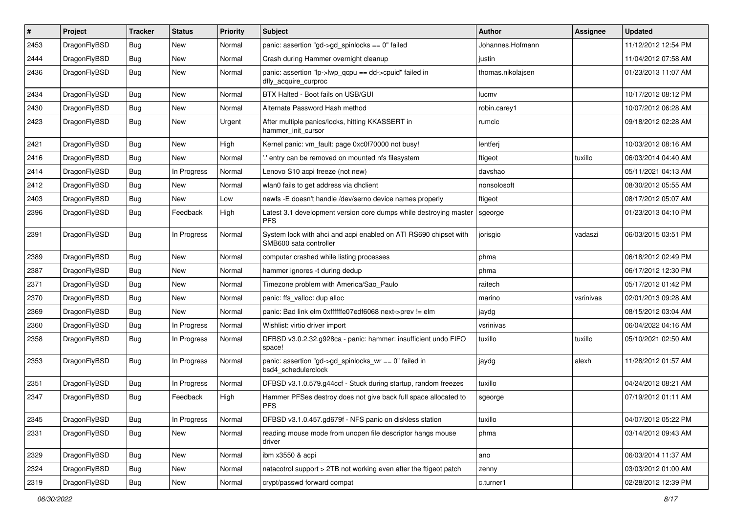| $\sharp$ | Project      | <b>Tracker</b> | <b>Status</b> | <b>Priority</b> | Subject                                                                                    | <b>Author</b>     | Assignee  | <b>Updated</b>      |
|----------|--------------|----------------|---------------|-----------------|--------------------------------------------------------------------------------------------|-------------------|-----------|---------------------|
| 2453     | DragonFlyBSD | Bug            | New           | Normal          | panic: assertion "gd->gd_spinlocks == 0" failed                                            | Johannes.Hofmann  |           | 11/12/2012 12:54 PM |
| 2444     | DragonFlyBSD | Bug            | New           | Normal          | Crash during Hammer overnight cleanup                                                      | justin            |           | 11/04/2012 07:58 AM |
| 2436     | DragonFlyBSD | Bug            | New           | Normal          | panic: assertion "lp->lwp_qcpu == dd->cpuid" failed in<br>dfly_acquire_curproc             | thomas.nikolajsen |           | 01/23/2013 11:07 AM |
| 2434     | DragonFlyBSD | Bug            | <b>New</b>    | Normal          | BTX Halted - Boot fails on USB/GUI                                                         | lucmv             |           | 10/17/2012 08:12 PM |
| 2430     | DragonFlyBSD | Bug            | New           | Normal          | Alternate Password Hash method                                                             | robin.carey1      |           | 10/07/2012 06:28 AM |
| 2423     | DragonFlyBSD | Bug            | New           | Urgent          | After multiple panics/locks, hitting KKASSERT in<br>hammer init cursor                     | rumcic            |           | 09/18/2012 02:28 AM |
| 2421     | DragonFlyBSD | Bug            | <b>New</b>    | High            | Kernel panic: vm_fault: page 0xc0f70000 not busy!                                          | lentferj          |           | 10/03/2012 08:16 AM |
| 2416     | DragonFlyBSD | Bug            | New           | Normal          | ".' entry can be removed on mounted nfs filesystem                                         | ftigeot           | tuxillo   | 06/03/2014 04:40 AM |
| 2414     | DragonFlyBSD | Bug            | In Progress   | Normal          | Lenovo S10 acpi freeze (not new)                                                           | davshao           |           | 05/11/2021 04:13 AM |
| 2412     | DragonFlyBSD | Bug            | <b>New</b>    | Normal          | wlan0 fails to get address via dhclient                                                    | nonsolosoft       |           | 08/30/2012 05:55 AM |
| 2403     | DragonFlyBSD | Bug            | New           | Low             | newfs - E doesn't handle /dev/serno device names properly                                  | ftigeot           |           | 08/17/2012 05:07 AM |
| 2396     | DragonFlyBSD | Bug            | Feedback      | High            | Latest 3.1 development version core dumps while destroying master<br><b>PFS</b>            | sgeorge           |           | 01/23/2013 04:10 PM |
| 2391     | DragonFlyBSD | <b>Bug</b>     | In Progress   | Normal          | System lock with ahci and acpi enabled on ATI RS690 chipset with<br>SMB600 sata controller | jorisgio          | vadaszi   | 06/03/2015 03:51 PM |
| 2389     | DragonFlyBSD | <b>Bug</b>     | New           | Normal          | computer crashed while listing processes                                                   | phma              |           | 06/18/2012 02:49 PM |
| 2387     | DragonFlyBSD | Bug            | <b>New</b>    | Normal          | hammer ignores -t during dedup                                                             | phma              |           | 06/17/2012 12:30 PM |
| 2371     | DragonFlyBSD | Bug            | New           | Normal          | Timezone problem with America/Sao_Paulo                                                    | raitech           |           | 05/17/2012 01:42 PM |
| 2370     | DragonFlyBSD | Bug            | New           | Normal          | panic: ffs_valloc: dup alloc                                                               | marino            | vsrinivas | 02/01/2013 09:28 AM |
| 2369     | DragonFlyBSD | Bug            | New           | Normal          | panic: Bad link elm 0xffffffe07edf6068 next->prev != elm                                   | jaydg             |           | 08/15/2012 03:04 AM |
| 2360     | DragonFlyBSD | Bug            | In Progress   | Normal          | Wishlist: virtio driver import                                                             | vsrinivas         |           | 06/04/2022 04:16 AM |
| 2358     | DragonFlyBSD | Bug            | In Progress   | Normal          | DFBSD v3.0.2.32.g928ca - panic: hammer: insufficient undo FIFO<br>space!                   | tuxillo           | tuxillo   | 05/10/2021 02:50 AM |
| 2353     | DragonFlyBSD | <b>Bug</b>     | In Progress   | Normal          | panic: assertion "gd->gd_spinlocks_wr == 0" failed in<br>bsd4_schedulerclock               | jaydg             | alexh     | 11/28/2012 01:57 AM |
| 2351     | DragonFlyBSD | <b>Bug</b>     | In Progress   | Normal          | DFBSD v3.1.0.579.g44ccf - Stuck during startup, random freezes                             | tuxillo           |           | 04/24/2012 08:21 AM |
| 2347     | DragonFlyBSD | Bug            | Feedback      | High            | Hammer PFSes destroy does not give back full space allocated to<br><b>PFS</b>              | sgeorge           |           | 07/19/2012 01:11 AM |
| 2345     | DragonFlyBSD | <b>Bug</b>     | In Progress   | Normal          | DFBSD v3.1.0.457.gd679f - NFS panic on diskless station                                    | tuxillo           |           | 04/07/2012 05:22 PM |
| 2331     | DragonFlyBSD | Bug            | New           | Normal          | reading mouse mode from unopen file descriptor hangs mouse<br>driver                       | phma              |           | 03/14/2012 09:43 AM |
| 2329     | DragonFlyBSD | <b>Bug</b>     | New           | Normal          | ibm x3550 & acpi                                                                           | ano               |           | 06/03/2014 11:37 AM |
| 2324     | DragonFlyBSD | <b>Bug</b>     | New           | Normal          | natacotrol support > 2TB not working even after the ftigeot patch                          | zenny             |           | 03/03/2012 01:00 AM |
| 2319     | DragonFlyBSD | <b>Bug</b>     | New           | Normal          | crypt/passwd forward compat                                                                | c.turner1         |           | 02/28/2012 12:39 PM |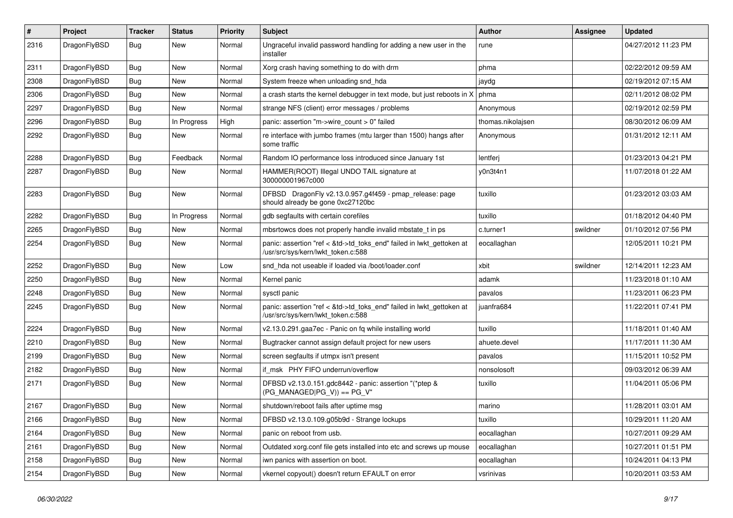| #    | Project      | <b>Tracker</b> | <b>Status</b> | <b>Priority</b> | Subject                                                                                                    | Author            | <b>Assignee</b> | <b>Updated</b>      |
|------|--------------|----------------|---------------|-----------------|------------------------------------------------------------------------------------------------------------|-------------------|-----------------|---------------------|
| 2316 | DragonFlyBSD | Bug            | New           | Normal          | Ungraceful invalid password handling for adding a new user in the<br>installer                             | rune              |                 | 04/27/2012 11:23 PM |
| 2311 | DragonFlyBSD | <b>Bug</b>     | <b>New</b>    | Normal          | Xorg crash having something to do with drm                                                                 | phma              |                 | 02/22/2012 09:59 AM |
| 2308 | DragonFlyBSD | Bug            | New           | Normal          | System freeze when unloading snd hda                                                                       | jaydg             |                 | 02/19/2012 07:15 AM |
| 2306 | DragonFlyBSD | <b>Bug</b>     | New           | Normal          | a crash starts the kernel debugger in text mode, but just reboots in X                                     | phma              |                 | 02/11/2012 08:02 PM |
| 2297 | DragonFlyBSD | <b>Bug</b>     | New           | Normal          | strange NFS (client) error messages / problems                                                             | Anonymous         |                 | 02/19/2012 02:59 PM |
| 2296 | DragonFlyBSD | Bug            | In Progress   | High            | panic: assertion "m->wire count > 0" failed                                                                | thomas.nikolajsen |                 | 08/30/2012 06:09 AM |
| 2292 | DragonFlyBSD | Bug            | New           | Normal          | re interface with jumbo frames (mtu larger than 1500) hangs after<br>some traffic                          | Anonymous         |                 | 01/31/2012 12:11 AM |
| 2288 | DragonFlyBSD | <b>Bug</b>     | Feedback      | Normal          | Random IO performance loss introduced since January 1st                                                    | lentferj          |                 | 01/23/2013 04:21 PM |
| 2287 | DragonFlyBSD | <b>Bug</b>     | New           | Normal          | HAMMER(ROOT) Illegal UNDO TAIL signature at<br>300000001967c000                                            | y0n3t4n1          |                 | 11/07/2018 01:22 AM |
| 2283 | DragonFlyBSD | <b>Bug</b>     | <b>New</b>    | Normal          | DFBSD DragonFly v2.13.0.957.g4f459 - pmap_release: page<br>should already be gone 0xc27120bc               | tuxillo           |                 | 01/23/2012 03:03 AM |
| 2282 | DragonFlyBSD | Bug            | In Progress   | Normal          | gdb segfaults with certain corefiles                                                                       | tuxillo           |                 | 01/18/2012 04:40 PM |
| 2265 | DragonFlyBSD | Bug            | New           | Normal          | mbsrtowcs does not properly handle invalid mbstate_t in ps                                                 | c.turner1         | swildner        | 01/10/2012 07:56 PM |
| 2254 | DragonFlyBSD | Bug            | New           | Normal          | panic: assertion "ref < &td->td_toks_end" failed in lwkt_gettoken at<br>/usr/src/sys/kern/lwkt_token.c:588 | eocallaghan       |                 | 12/05/2011 10:21 PM |
| 2252 | DragonFlyBSD | <b>Bug</b>     | <b>New</b>    | Low             | snd hda not useable if loaded via /boot/loader.conf                                                        | xbit              | swildner        | 12/14/2011 12:23 AM |
| 2250 | DragonFlyBSD | Bug            | New           | Normal          | Kernel panic                                                                                               | adamk             |                 | 11/23/2018 01:10 AM |
| 2248 | DragonFlyBSD | Bug            | New           | Normal          | sysctl panic                                                                                               | pavalos           |                 | 11/23/2011 06:23 PM |
| 2245 | DragonFlyBSD | Bug            | New           | Normal          | panic: assertion "ref < &td->td_toks_end" failed in lwkt_gettoken at<br>/usr/src/sys/kern/lwkt_token.c:588 | juanfra684        |                 | 11/22/2011 07:41 PM |
| 2224 | DragonFlyBSD | <b>Bug</b>     | <b>New</b>    | Normal          | v2.13.0.291.gaa7ec - Panic on fq while installing world                                                    | tuxillo           |                 | 11/18/2011 01:40 AM |
| 2210 | DragonFlyBSD | <b>Bug</b>     | New           | Normal          | Bugtracker cannot assign default project for new users                                                     | ahuete.devel      |                 | 11/17/2011 11:30 AM |
| 2199 | DragonFlyBSD | <b>Bug</b>     | New           | Normal          | screen segfaults if utmpx isn't present                                                                    | pavalos           |                 | 11/15/2011 10:52 PM |
| 2182 | DragonFlyBSD | <b>Bug</b>     | New           | Normal          | if msk PHY FIFO underrun/overflow                                                                          | nonsolosoft       |                 | 09/03/2012 06:39 AM |
| 2171 | DragonFlyBSD | Bug            | New           | Normal          | DFBSD v2.13.0.151.gdc8442 - panic: assertion "(*ptep &<br>$(PG$ MANAGED $ PG_V\rangle$ ) == PG_V"          | tuxillo           |                 | 11/04/2011 05:06 PM |
| 2167 | DragonFlyBSD | Bug            | New           | Normal          | shutdown/reboot fails after uptime msg                                                                     | marino            |                 | 11/28/2011 03:01 AM |
| 2166 | DragonFlyBSD | Bug            | New           | Normal          | DFBSD v2.13.0.109.g05b9d - Strange lockups                                                                 | tuxillo           |                 | 10/29/2011 11:20 AM |
| 2164 | DragonFlyBSD | <b>Bug</b>     | New           | Normal          | panic on reboot from usb.                                                                                  | eocallaghan       |                 | 10/27/2011 09:29 AM |
| 2161 | DragonFlyBSD | <b>Bug</b>     | New           | Normal          | Outdated xorg.conf file gets installed into etc and screws up mouse                                        | eocallaghan       |                 | 10/27/2011 01:51 PM |
| 2158 | DragonFlyBSD | <b>Bug</b>     | New           | Normal          | iwn panics with assertion on boot.                                                                         | eocallaghan       |                 | 10/24/2011 04:13 PM |
| 2154 | DragonFlyBSD | <b>Bug</b>     | New           | Normal          | vkernel copyout() doesn't return EFAULT on error                                                           | vsrinivas         |                 | 10/20/2011 03:53 AM |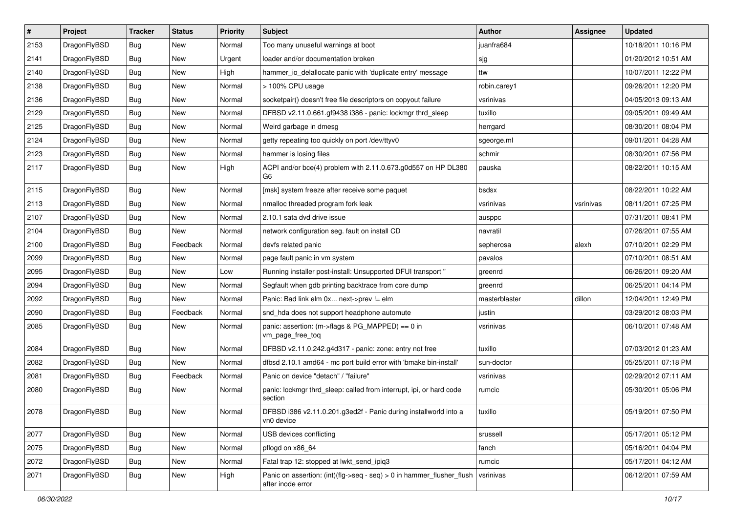| $\sharp$ | Project      | <b>Tracker</b> | <b>Status</b> | <b>Priority</b> | Subject                                                                                    | <b>Author</b> | Assignee  | <b>Updated</b>      |
|----------|--------------|----------------|---------------|-----------------|--------------------------------------------------------------------------------------------|---------------|-----------|---------------------|
| 2153     | DragonFlyBSD | Bug            | New           | Normal          | Too many unuseful warnings at boot                                                         | juanfra684    |           | 10/18/2011 10:16 PM |
| 2141     | DragonFlyBSD | Bug            | <b>New</b>    | Urgent          | loader and/or documentation broken                                                         | sjg           |           | 01/20/2012 10:51 AM |
| 2140     | DragonFlyBSD | Bug            | New           | High            | hammer_io_delallocate panic with 'duplicate entry' message                                 | ttw           |           | 10/07/2011 12:22 PM |
| 2138     | DragonFlyBSD | Bug            | <b>New</b>    | Normal          | > 100% CPU usage                                                                           | robin.carey1  |           | 09/26/2011 12:20 PM |
| 2136     | DragonFlyBSD | <b>Bug</b>     | New           | Normal          | socketpair() doesn't free file descriptors on copyout failure                              | vsrinivas     |           | 04/05/2013 09:13 AM |
| 2129     | DragonFlyBSD | <b>Bug</b>     | <b>New</b>    | Normal          | DFBSD v2.11.0.661.gf9438 i386 - panic: lockmgr thrd_sleep                                  | tuxillo       |           | 09/05/2011 09:49 AM |
| 2125     | DragonFlyBSD | <b>Bug</b>     | New           | Normal          | Weird garbage in dmesg                                                                     | herrgard      |           | 08/30/2011 08:04 PM |
| 2124     | DragonFlyBSD | Bug            | <b>New</b>    | Normal          | getty repeating too quickly on port /dev/ttyv0                                             | sgeorge.ml    |           | 09/01/2011 04:28 AM |
| 2123     | DragonFlyBSD | Bug            | <b>New</b>    | Normal          | hammer is losing files                                                                     | schmir        |           | 08/30/2011 07:56 PM |
| 2117     | DragonFlyBSD | <b>Bug</b>     | New           | High            | ACPI and/or bce(4) problem with 2.11.0.673.g0d557 on HP DL380<br>G6                        | pauska        |           | 08/22/2011 10:15 AM |
| 2115     | DragonFlyBSD | <b>Bug</b>     | New           | Normal          | [msk] system freeze after receive some paquet                                              | bsdsx         |           | 08/22/2011 10:22 AM |
| 2113     | DragonFlyBSD | <b>Bug</b>     | New           | Normal          | nmalloc threaded program fork leak                                                         | vsrinivas     | vsrinivas | 08/11/2011 07:25 PM |
| 2107     | DragonFlyBSD | <b>Bug</b>     | <b>New</b>    | Normal          | 2.10.1 sata dvd drive issue                                                                | ausppc        |           | 07/31/2011 08:41 PM |
| 2104     | DragonFlyBSD | <b>Bug</b>     | New           | Normal          | network configuration seg. fault on install CD                                             | navratil      |           | 07/26/2011 07:55 AM |
| 2100     | DragonFlyBSD | <b>Bug</b>     | Feedback      | Normal          | devfs related panic                                                                        | sepherosa     | alexh     | 07/10/2011 02:29 PM |
| 2099     | DragonFlyBSD | <b>Bug</b>     | <b>New</b>    | Normal          | page fault panic in vm system                                                              | pavalos       |           | 07/10/2011 08:51 AM |
| 2095     | DragonFlyBSD | <b>Bug</b>     | New           | Low             | Running installer post-install: Unsupported DFUI transport "                               | greenrd       |           | 06/26/2011 09:20 AM |
| 2094     | DragonFlyBSD | <b>Bug</b>     | New           | Normal          | Segfault when gdb printing backtrace from core dump                                        | greenrd       |           | 06/25/2011 04:14 PM |
| 2092     | DragonFlyBSD | <b>Bug</b>     | New           | Normal          | Panic: Bad link elm 0x next->prev != elm                                                   | masterblaster | dillon    | 12/04/2011 12:49 PM |
| 2090     | DragonFlyBSD | Bug            | Feedback      | Normal          | snd_hda does not support headphone automute                                                | justin        |           | 03/29/2012 08:03 PM |
| 2085     | DragonFlyBSD | <b>Bug</b>     | New           | Normal          | panic: assertion: (m->flags & PG_MAPPED) == 0 in<br>vm_page_free_toq                       | vsrinivas     |           | 06/10/2011 07:48 AM |
| 2084     | DragonFlyBSD | <b>Bug</b>     | New           | Normal          | DFBSD v2.11.0.242.g4d317 - panic: zone: entry not free                                     | tuxillo       |           | 07/03/2012 01:23 AM |
| 2082     | DragonFlyBSD | <b>Bug</b>     | New           | Normal          | dfbsd 2.10.1 amd64 - mc port build error with 'bmake bin-install'                          | sun-doctor    |           | 05/25/2011 07:18 PM |
| 2081     | DragonFlyBSD | <b>Bug</b>     | Feedback      | Normal          | Panic on device "detach" / "failure"                                                       | vsrinivas     |           | 02/29/2012 07:11 AM |
| 2080     | DragonFlyBSD | <b>Bug</b>     | <b>New</b>    | Normal          | panic: lockmgr thrd sleep: called from interrupt, ipi, or hard code<br>section             | rumcic        |           | 05/30/2011 05:06 PM |
| 2078     | DragonFlyBSD | <b>Bug</b>     | <b>New</b>    | Normal          | DFBSD i386 v2.11.0.201.g3ed2f - Panic during installworld into a<br>vn0 device             | tuxillo       |           | 05/19/2011 07:50 PM |
| 2077     | DragonFlyBSD | <b>Bug</b>     | New           | Normal          | USB devices conflicting                                                                    | srussell      |           | 05/17/2011 05:12 PM |
| 2075     | DragonFlyBSD | <b>Bug</b>     | New           | Normal          | pflogd on x86 64                                                                           | fanch         |           | 05/16/2011 04:04 PM |
| 2072     | DragonFlyBSD | <b>Bug</b>     | New           | Normal          | Fatal trap 12: stopped at lwkt_send_ipiq3                                                  | rumcic        |           | 05/17/2011 04:12 AM |
| 2071     | DragonFlyBSD | Bug            | New           | High            | Panic on assertion: (int)(flg->seq - seq) > 0 in hammer_flusher_flush<br>after inode error | vsrinivas     |           | 06/12/2011 07:59 AM |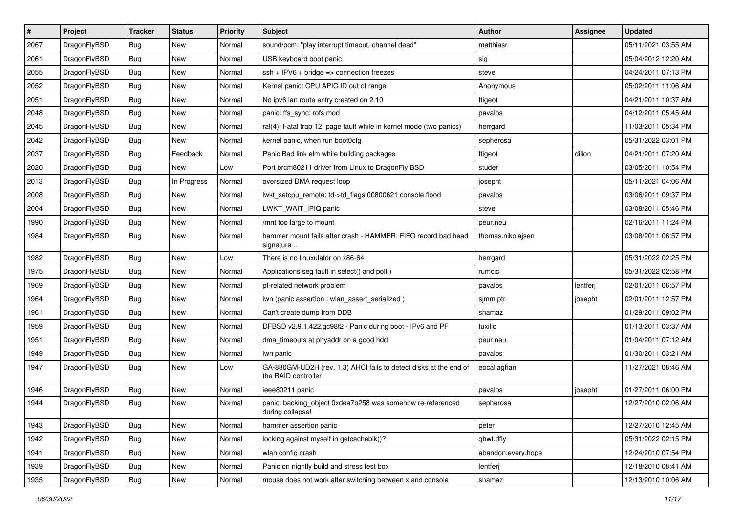| $\sharp$ | Project      | <b>Tracker</b> | <b>Status</b> | <b>Priority</b> | Subject                                                                                  | <b>Author</b>      | Assignee | <b>Updated</b>      |
|----------|--------------|----------------|---------------|-----------------|------------------------------------------------------------------------------------------|--------------------|----------|---------------------|
| 2067     | DragonFlyBSD | <b>Bug</b>     | New           | Normal          | sound/pcm: "play interrupt timeout, channel dead"                                        | matthiasr          |          | 05/11/2021 03:55 AM |
| 2061     | DragonFlyBSD | <b>Bug</b>     | New           | Normal          | USB keyboard boot panic                                                                  | sjg                |          | 05/04/2012 12:20 AM |
| 2055     | DragonFlyBSD | <b>Bug</b>     | New           | Normal          | $ssh + IPV6 + bridge \Rightarrow connection freezes$                                     | steve              |          | 04/24/2011 07:13 PM |
| 2052     | DragonFlyBSD | <b>Bug</b>     | New           | Normal          | Kernel panic: CPU APIC ID out of range                                                   | Anonymous          |          | 05/02/2011 11:06 AM |
| 2051     | DragonFlyBSD | <b>Bug</b>     | <b>New</b>    | Normal          | No ipv6 lan route entry created on 2.10                                                  | ftigeot            |          | 04/21/2011 10:37 AM |
| 2048     | DragonFlyBSD | <b>Bug</b>     | <b>New</b>    | Normal          | panic: ffs_sync: rofs mod                                                                | pavalos            |          | 04/12/2011 05:45 AM |
| 2045     | DragonFlyBSD | <b>Bug</b>     | New           | Normal          | ral(4): Fatal trap 12: page fault while in kernel mode (two panics)                      | herrgard           |          | 11/03/2011 05:34 PM |
| 2042     | DragonFlyBSD | <b>Bug</b>     | New           | Normal          | kernel panic, when run boot0cfg                                                          | sepherosa          |          | 05/31/2022 03:01 PM |
| 2037     | DragonFlyBSD | <b>Bug</b>     | Feedback      | Normal          | Panic Bad link elm while building packages                                               | ftigeot            | dillon   | 04/21/2011 07:20 AM |
| 2020     | DragonFlyBSD | <b>Bug</b>     | New           | Low             | Port brcm80211 driver from Linux to DragonFly BSD                                        | studer             |          | 03/05/2011 10:54 PM |
| 2013     | DragonFlyBSD | <b>Bug</b>     | In Progress   | Normal          | oversized DMA request loop                                                               | josepht            |          | 05/11/2021 04:06 AM |
| 2008     | DragonFlyBSD | <b>Bug</b>     | <b>New</b>    | Normal          | lwkt_setcpu_remote: td->td_flags 00800621 console flood                                  | pavalos            |          | 03/06/2011 09:37 PM |
| 2004     | DragonFlyBSD | Bug            | <b>New</b>    | Normal          | LWKT_WAIT_IPIQ panic                                                                     | steve              |          | 03/08/2011 05:46 PM |
| 1990     | DragonFlyBSD | <b>Bug</b>     | New           | Normal          | /mnt too large to mount                                                                  | peur.neu           |          | 02/16/2011 11:24 PM |
| 1984     | DragonFlyBSD | <b>Bug</b>     | New           | Normal          | hammer mount fails after crash - HAMMER: FIFO record bad head<br>signature               | thomas.nikolajsen  |          | 03/08/2011 06:57 PM |
| 1982     | DragonFlyBSD | <b>Bug</b>     | <b>New</b>    | Low             | There is no linuxulator on x86-64                                                        | herrgard           |          | 05/31/2022 02:25 PM |
| 1975     | DragonFlyBSD | <b>Bug</b>     | <b>New</b>    | Normal          | Applications seg fault in select() and poll()                                            | rumcic             |          | 05/31/2022 02:58 PM |
| 1969     | DragonFlyBSD | <b>Bug</b>     | New           | Normal          | pf-related network problem                                                               | pavalos            | lentferj | 02/01/2011 06:57 PM |
| 1964     | DragonFlyBSD | <b>Bug</b>     | New           | Normal          | iwn (panic assertion : wlan assert serialized)                                           | sjmm.ptr           | josepht  | 02/01/2011 12:57 PM |
| 1961     | DragonFlyBSD | <b>Bug</b>     | New           | Normal          | Can't create dump from DDB                                                               | shamaz             |          | 01/29/2011 09:02 PM |
| 1959     | DragonFlyBSD | <b>Bug</b>     | New           | Normal          | DFBSD v2.9.1.422.gc98f2 - Panic during boot - IPv6 and PF                                | tuxillo            |          | 01/13/2011 03:37 AM |
| 1951     | DragonFlyBSD | <b>Bug</b>     | <b>New</b>    | Normal          | dma_timeouts at phyaddr on a good hdd                                                    | peur.neu           |          | 01/04/2011 07:12 AM |
| 1949     | DragonFlyBSD | <b>Bug</b>     | New           | Normal          | iwn panic                                                                                | pavalos            |          | 01/30/2011 03:21 AM |
| 1947     | DragonFlyBSD | <b>Bug</b>     | <b>New</b>    | Low             | GA-880GM-UD2H (rev. 1.3) AHCI fails to detect disks at the end of<br>the RAID controller | eocallaghan        |          | 11/27/2021 08:46 AM |
| 1946     | DragonFlyBSD | <b>Bug</b>     | New           | Normal          | ieee80211 panic                                                                          | pavalos            | josepht  | 01/27/2011 06:00 PM |
| 1944     | DragonFlyBSD | <b>Bug</b>     | New           | Normal          | panic: backing object 0xdea7b258 was somehow re-referenced<br>during collapse!           | sepherosa          |          | 12/27/2010 02:06 AM |
| 1943     | DragonFlyBSD | Bug            | <b>New</b>    | Normal          | hammer assertion panic                                                                   | peter              |          | 12/27/2010 12:45 AM |
| 1942     | DragonFlyBSD | <b>Bug</b>     | <b>New</b>    | Normal          | locking against myself in getcacheblk()?                                                 | qhwt.dfly          |          | 05/31/2022 02:15 PM |
| 1941     | DragonFlyBSD | Bug            | New           | Normal          | wlan config crash                                                                        | abandon.every.hope |          | 12/24/2010 07:54 PM |
| 1939     | DragonFlyBSD | <b>Bug</b>     | New           | Normal          | Panic on nightly build and stress test box                                               | lentferj           |          | 12/18/2010 08:41 AM |
| 1935     | DragonFlyBSD | <b>Bug</b>     | New           | Normal          | mouse does not work after switching between x and console                                | shamaz             |          | 12/13/2010 10:06 AM |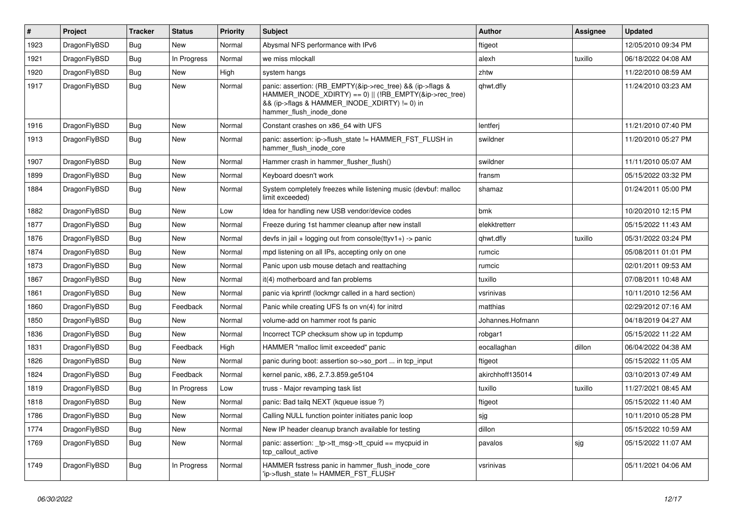| $\#$ | Project      | <b>Tracker</b> | <b>Status</b> | <b>Priority</b> | <b>Subject</b>                                                                                                                                                                                    | <b>Author</b>    | Assignee | <b>Updated</b>      |
|------|--------------|----------------|---------------|-----------------|---------------------------------------------------------------------------------------------------------------------------------------------------------------------------------------------------|------------------|----------|---------------------|
| 1923 | DragonFlyBSD | Bug            | <b>New</b>    | Normal          | Abysmal NFS performance with IPv6                                                                                                                                                                 | ftigeot          |          | 12/05/2010 09:34 PM |
| 1921 | DragonFlyBSD | Bug            | In Progress   | Normal          | we miss mlockall                                                                                                                                                                                  | alexh            | tuxillo  | 06/18/2022 04:08 AM |
| 1920 | DragonFlyBSD | Bug            | <b>New</b>    | High            | system hangs                                                                                                                                                                                      | zhtw             |          | 11/22/2010 08:59 AM |
| 1917 | DragonFlyBSD | Bug            | <b>New</b>    | Normal          | panic: assertion: (RB EMPTY(&ip->rec tree) && (ip->flags &<br>HAMMER_INODE_XDIRTY) == 0)    (!RB_EMPTY(&ip->rec_tree)<br>&& (ip->flags & HAMMER_INODE_XDIRTY) != 0) in<br>hammer flush inode done | qhwt.dfly        |          | 11/24/2010 03:23 AM |
| 1916 | DragonFlyBSD | <b>Bug</b>     | <b>New</b>    | Normal          | Constant crashes on x86 64 with UFS                                                                                                                                                               | lentferj         |          | 11/21/2010 07:40 PM |
| 1913 | DragonFlyBSD | <b>Bug</b>     | <b>New</b>    | Normal          | panic: assertion: ip->flush state != HAMMER FST FLUSH in<br>hammer flush inode core                                                                                                               | swildner         |          | 11/20/2010 05:27 PM |
| 1907 | DragonFlyBSD | <b>Bug</b>     | <b>New</b>    | Normal          | Hammer crash in hammer flusher flush()                                                                                                                                                            | swildner         |          | 11/11/2010 05:07 AM |
| 1899 | DragonFlyBSD | <b>Bug</b>     | <b>New</b>    | Normal          | Keyboard doesn't work                                                                                                                                                                             | fransm           |          | 05/15/2022 03:32 PM |
| 1884 | DragonFlyBSD | Bug            | New           | Normal          | System completely freezes while listening music (devbuf: malloc<br>limit exceeded)                                                                                                                | shamaz           |          | 01/24/2011 05:00 PM |
| 1882 | DragonFlyBSD | Bug            | <b>New</b>    | Low             | Idea for handling new USB vendor/device codes                                                                                                                                                     | bmk              |          | 10/20/2010 12:15 PM |
| 1877 | DragonFlyBSD | Bug            | New           | Normal          | Freeze during 1st hammer cleanup after new install                                                                                                                                                | elekktretterr    |          | 05/15/2022 11:43 AM |
| 1876 | DragonFlyBSD | Bug            | New           | Normal          | devfs in jail + logging out from console(ttyv1+) -> panic                                                                                                                                         | qhwt.dfly        | tuxillo  | 05/31/2022 03:24 PM |
| 1874 | DragonFlyBSD | Bug            | New           | Normal          | mpd listening on all IPs, accepting only on one                                                                                                                                                   | rumcic           |          | 05/08/2011 01:01 PM |
| 1873 | DragonFlyBSD | Bug            | New           | Normal          | Panic upon usb mouse detach and reattaching                                                                                                                                                       | rumcic           |          | 02/01/2011 09:53 AM |
| 1867 | DragonFlyBSD | <b>Bug</b>     | <b>New</b>    | Normal          | it(4) motherboard and fan problems                                                                                                                                                                | tuxillo          |          | 07/08/2011 10:48 AM |
| 1861 | DragonFlyBSD | Bug            | New           | Normal          | panic via kprintf (lockmgr called in a hard section)                                                                                                                                              | vsrinivas        |          | 10/11/2010 12:56 AM |
| 1860 | DragonFlyBSD | <b>Bug</b>     | Feedback      | Normal          | Panic while creating UFS fs on vn(4) for initrd                                                                                                                                                   | matthias         |          | 02/29/2012 07:16 AM |
| 1850 | DragonFlyBSD | <b>Bug</b>     | <b>New</b>    | Normal          | volume-add on hammer root fs panic                                                                                                                                                                | Johannes.Hofmann |          | 04/18/2019 04:27 AM |
| 1836 | DragonFlyBSD | <b>Bug</b>     | <b>New</b>    | Normal          | Incorrect TCP checksum show up in tcpdump                                                                                                                                                         | robgar1          |          | 05/15/2022 11:22 AM |
| 1831 | DragonFlyBSD | Bug            | Feedback      | High            | HAMMER "malloc limit exceeded" panic                                                                                                                                                              | eocallaghan      | dillon   | 06/04/2022 04:38 AM |
| 1826 | DragonFlyBSD | <b>Bug</b>     | New           | Normal          | panic during boot: assertion so->so port  in tcp input                                                                                                                                            | ftigeot          |          | 05/15/2022 11:05 AM |
| 1824 | DragonFlyBSD | <b>Bug</b>     | Feedback      | Normal          | kernel panic, x86, 2.7.3.859.ge5104                                                                                                                                                               | akirchhoff135014 |          | 03/10/2013 07:49 AM |
| 1819 | DragonFlyBSD | <b>Bug</b>     | In Progress   | Low             | truss - Major revamping task list                                                                                                                                                                 | tuxillo          | tuxillo  | 11/27/2021 08:45 AM |
| 1818 | DragonFlyBSD | <b>Bug</b>     | New           | Normal          | panic: Bad tailg NEXT (kqueue issue ?)                                                                                                                                                            | ftigeot          |          | 05/15/2022 11:40 AM |
| 1786 | DragonFlyBSD | <b>Bug</b>     | New           | Normal          | Calling NULL function pointer initiates panic loop                                                                                                                                                | sjg              |          | 10/11/2010 05:28 PM |
| 1774 | DragonFlyBSD | <b>Bug</b>     | <b>New</b>    | Normal          | New IP header cleanup branch available for testing                                                                                                                                                | dillon           |          | 05/15/2022 10:59 AM |
| 1769 | DragonFlyBSD | Bug            | New           | Normal          | panic: assertion: _tp->tt_msg->tt_cpuid == mycpuid in<br>tcp callout active                                                                                                                       | pavalos          | sjg      | 05/15/2022 11:07 AM |
| 1749 | DragonFlyBSD | Bug            | In Progress   | Normal          | HAMMER fsstress panic in hammer flush inode core<br>'ip->flush_state != HAMMER_FST_FLUSH'                                                                                                         | vsrinivas        |          | 05/11/2021 04:06 AM |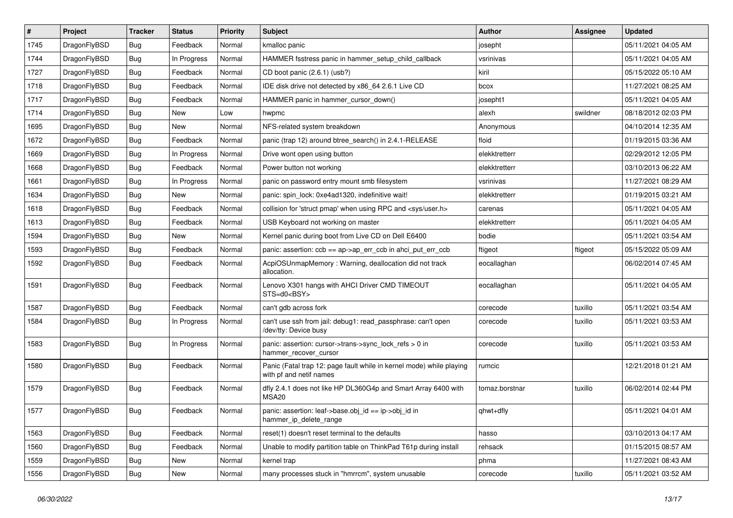| $\vert$ # | Project      | <b>Tracker</b> | <b>Status</b> | <b>Priority</b> | <b>Subject</b>                                                                                   | <b>Author</b>  | Assignee | <b>Updated</b>      |
|-----------|--------------|----------------|---------------|-----------------|--------------------------------------------------------------------------------------------------|----------------|----------|---------------------|
| 1745      | DragonFlyBSD | <b>Bug</b>     | Feedback      | Normal          | kmalloc panic                                                                                    | josepht        |          | 05/11/2021 04:05 AM |
| 1744      | DragonFlyBSD | <b>Bug</b>     | In Progress   | Normal          | HAMMER fsstress panic in hammer_setup_child_callback                                             | vsrinivas      |          | 05/11/2021 04:05 AM |
| 1727      | DragonFlyBSD | <b>Bug</b>     | Feedback      | Normal          | CD boot panic (2.6.1) (usb?)                                                                     | kiril          |          | 05/15/2022 05:10 AM |
| 1718      | DragonFlyBSD | Bug            | Feedback      | Normal          | IDE disk drive not detected by x86_64 2.6.1 Live CD                                              | bcox           |          | 11/27/2021 08:25 AM |
| 1717      | DragonFlyBSD | <b>Bug</b>     | Feedback      | Normal          | HAMMER panic in hammer_cursor_down()                                                             | josepht1       |          | 05/11/2021 04:05 AM |
| 1714      | DragonFlyBSD | <b>Bug</b>     | <b>New</b>    | Low             | hwpmc                                                                                            | alexh          | swildner | 08/18/2012 02:03 PM |
| 1695      | DragonFlyBSD | <b>Bug</b>     | <b>New</b>    | Normal          | NFS-related system breakdown                                                                     | Anonymous      |          | 04/10/2014 12:35 AM |
| 1672      | DragonFlyBSD | <b>Bug</b>     | Feedback      | Normal          | panic (trap 12) around btree_search() in 2.4.1-RELEASE                                           | floid          |          | 01/19/2015 03:36 AM |
| 1669      | DragonFlyBSD | Bug            | In Progress   | Normal          | Drive wont open using button                                                                     | elekktretterr  |          | 02/29/2012 12:05 PM |
| 1668      | DragonFlyBSD | <b>Bug</b>     | Feedback      | Normal          | Power button not working                                                                         | elekktretterr  |          | 03/10/2013 06:22 AM |
| 1661      | DragonFlyBSD | <b>Bug</b>     | In Progress   | Normal          | panic on password entry mount smb filesystem                                                     | vsrinivas      |          | 11/27/2021 08:29 AM |
| 1634      | DragonFlyBSD | Bug            | <b>New</b>    | Normal          | panic: spin_lock: 0xe4ad1320, indefinitive wait!                                                 | elekktretterr  |          | 01/19/2015 03:21 AM |
| 1618      | DragonFlyBSD | <b>Bug</b>     | Feedback      | Normal          | collision for 'struct pmap' when using RPC and <sys user.h=""></sys>                             | carenas        |          | 05/11/2021 04:05 AM |
| 1613      | DragonFlyBSD | <b>Bug</b>     | Feedback      | Normal          | USB Keyboard not working on master                                                               | elekktretterr  |          | 05/11/2021 04:05 AM |
| 1594      | DragonFlyBSD | <b>Bug</b>     | New           | Normal          | Kernel panic during boot from Live CD on Dell E6400                                              | bodie          |          | 05/11/2021 03:54 AM |
| 1593      | DragonFlyBSD | <b>Bug</b>     | Feedback      | Normal          | panic: assertion: $ccb == ap > ap$ err $ccb$ in ahci put err $ccb$                               | ftigeot        | ftigeot  | 05/15/2022 05:09 AM |
| 1592      | DragonFlyBSD | Bug            | Feedback      | Normal          | AcpiOSUnmapMemory: Warning, deallocation did not track<br>allocation.                            | eocallaghan    |          | 06/02/2014 07:45 AM |
| 1591      | DragonFlyBSD | Bug            | Feedback      | Normal          | Lenovo X301 hangs with AHCI Driver CMD TIMEOUT<br>STS=d0 <bsy></bsy>                             | eocallaghan    |          | 05/11/2021 04:05 AM |
| 1587      | DragonFlyBSD | <b>Bug</b>     | Feedback      | Normal          | can't gdb across fork                                                                            | corecode       | tuxillo  | 05/11/2021 03:54 AM |
| 1584      | DragonFlyBSD | Bug            | In Progress   | Normal          | can't use ssh from jail: debug1: read_passphrase: can't open<br>/dev/tty: Device busy            | corecode       | tuxillo  | 05/11/2021 03:53 AM |
| 1583      | DragonFlyBSD | <b>Bug</b>     | In Progress   | Normal          | panic: assertion: cursor->trans->sync_lock_refs > 0 in<br>hammer_recover_cursor                  | corecode       | tuxillo  | 05/11/2021 03:53 AM |
| 1580      | DragonFlyBSD | <b>Bug</b>     | Feedback      | Normal          | Panic (Fatal trap 12: page fault while in kernel mode) while playing<br>with pf and netif names  | rumcic         |          | 12/21/2018 01:21 AM |
| 1579      | DragonFlyBSD | <b>Bug</b>     | Feedback      | Normal          | dfly 2.4.1 does not like HP DL360G4p and Smart Array 6400 with<br><b>MSA20</b>                   | tomaz.borstnar | tuxillo  | 06/02/2014 02:44 PM |
| 1577      | DragonFlyBSD | <b>Bug</b>     | Feedback      | Normal          | panic: assertion: $leaf$ - $base$ .obj $id == ip$ - $\geq$ obj $id$ in<br>hammer_ip_delete_range | ghwt+dfly      |          | 05/11/2021 04:01 AM |
| 1563      | DragonFlyBSD | <b>Bug</b>     | Feedback      | Normal          | reset(1) doesn't reset terminal to the defaults                                                  | hasso          |          | 03/10/2013 04:17 AM |
| 1560      | DragonFlyBSD | <b>Bug</b>     | Feedback      | Normal          | Unable to modify partition table on ThinkPad T61p during install                                 | rehsack        |          | 01/15/2015 08:57 AM |
| 1559      | DragonFlyBSD | Bug            | New           | Normal          | kernel trap                                                                                      | phma           |          | 11/27/2021 08:43 AM |
| 1556      | DragonFlyBSD | <b>Bug</b>     | New           | Normal          | many processes stuck in "hmrrcm", system unusable                                                | corecode       | tuxillo  | 05/11/2021 03:52 AM |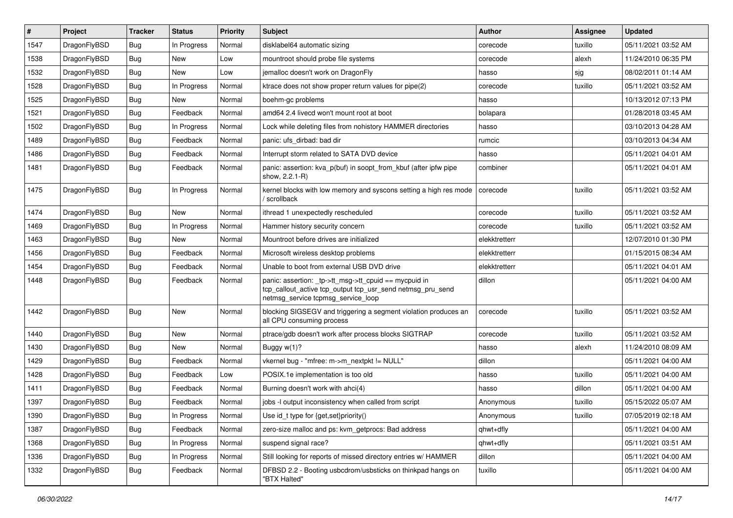| #    | Project      | <b>Tracker</b> | <b>Status</b> | <b>Priority</b> | Subject                                                                                                                                                   | <b>Author</b> | Assignee | <b>Updated</b>      |
|------|--------------|----------------|---------------|-----------------|-----------------------------------------------------------------------------------------------------------------------------------------------------------|---------------|----------|---------------------|
| 1547 | DragonFlyBSD | Bug            | In Progress   | Normal          | disklabel64 automatic sizing                                                                                                                              | corecode      | tuxillo  | 05/11/2021 03:52 AM |
| 1538 | DragonFlyBSD | Bug            | New           | Low             | mountroot should probe file systems                                                                                                                       | corecode      | alexh    | 11/24/2010 06:35 PM |
| 1532 | DragonFlyBSD | Bug            | New           | Low             | jemalloc doesn't work on DragonFly                                                                                                                        | hasso         | sjg      | 08/02/2011 01:14 AM |
| 1528 | DragonFlyBSD | Bug            | In Progress   | Normal          | ktrace does not show proper return values for pipe(2)                                                                                                     | corecode      | tuxillo  | 05/11/2021 03:52 AM |
| 1525 | DragonFlyBSD | Bug            | New           | Normal          | boehm-gc problems                                                                                                                                         | hasso         |          | 10/13/2012 07:13 PM |
| 1521 | DragonFlyBSD | Bug            | Feedback      | Normal          | amd64 2.4 livecd won't mount root at boot                                                                                                                 | bolapara      |          | 01/28/2018 03:45 AM |
| 1502 | DragonFlyBSD | Bug            | In Progress   | Normal          | Lock while deleting files from nohistory HAMMER directories                                                                                               | hasso         |          | 03/10/2013 04:28 AM |
| 1489 | DragonFlyBSD | Bug            | Feedback      | Normal          | panic: ufs dirbad: bad dir                                                                                                                                | rumcic        |          | 03/10/2013 04:34 AM |
| 1486 | DragonFlyBSD | Bug            | Feedback      | Normal          | Interrupt storm related to SATA DVD device                                                                                                                | hasso         |          | 05/11/2021 04:01 AM |
| 1481 | DragonFlyBSD | Bug            | Feedback      | Normal          | panic: assertion: kva_p(buf) in soopt_from_kbuf (after ipfw pipe<br>show, 2.2.1-R)                                                                        | combiner      |          | 05/11/2021 04:01 AM |
| 1475 | DragonFlyBSD | Bug            | In Progress   | Normal          | kernel blocks with low memory and syscons setting a high res mode<br>/ scrollback                                                                         | corecode      | tuxillo  | 05/11/2021 03:52 AM |
| 1474 | DragonFlyBSD | Bug            | New           | Normal          | ithread 1 unexpectedly rescheduled                                                                                                                        | corecode      | tuxillo  | 05/11/2021 03:52 AM |
| 1469 | DragonFlyBSD | Bug            | In Progress   | Normal          | Hammer history security concern                                                                                                                           | corecode      | tuxillo  | 05/11/2021 03:52 AM |
| 1463 | DragonFlyBSD | Bug            | New           | Normal          | Mountroot before drives are initialized                                                                                                                   | elekktretterr |          | 12/07/2010 01:30 PM |
| 1456 | DragonFlyBSD | Bug            | Feedback      | Normal          | Microsoft wireless desktop problems                                                                                                                       | elekktretterr |          | 01/15/2015 08:34 AM |
| 1454 | DragonFlyBSD | Bug            | Feedback      | Normal          | Unable to boot from external USB DVD drive                                                                                                                | elekktretterr |          | 05/11/2021 04:01 AM |
| 1448 | DragonFlyBSD | Bug            | Feedback      | Normal          | panic: assertion: _tp->tt_msg->tt_cpuid == mycpuid in<br>tcp_callout_active tcp_output tcp_usr_send netmsg_pru_send<br>netmsg_service tcpmsg_service_loop | dillon        |          | 05/11/2021 04:00 AM |
| 1442 | DragonFlyBSD | Bug            | New           | Normal          | blocking SIGSEGV and triggering a segment violation produces an<br>all CPU consuming process                                                              | corecode      | tuxillo  | 05/11/2021 03:52 AM |
| 1440 | DragonFlyBSD | Bug            | New           | Normal          | ptrace/gdb doesn't work after process blocks SIGTRAP                                                                                                      | corecode      | tuxillo  | 05/11/2021 03:52 AM |
| 1430 | DragonFlyBSD | Bug            | New           | Normal          | Buggy w(1)?                                                                                                                                               | hasso         | alexh    | 11/24/2010 08:09 AM |
| 1429 | DragonFlyBSD | Bug            | Feedback      | Normal          | vkernel bug - "mfree: m->m nextpkt != NULL"                                                                                                               | dillon        |          | 05/11/2021 04:00 AM |
| 1428 | DragonFlyBSD | Bug            | Feedback      | Low             | POSIX.1e implementation is too old                                                                                                                        | hasso         | tuxillo  | 05/11/2021 04:00 AM |
| 1411 | DragonFlyBSD | Bug            | Feedback      | Normal          | Burning doesn't work with ahci(4)                                                                                                                         | hasso         | dillon   | 05/11/2021 04:00 AM |
| 1397 | DragonFlyBSD | Bug            | Feedback      | Normal          | jobs -I output inconsistency when called from script                                                                                                      | Anonymous     | tuxillo  | 05/15/2022 05:07 AM |
| 1390 | DragonFlyBSD | <b>Bug</b>     | In Progress   | Normal          | Use id_t type for $\{ \text{get}, \text{set} \}$ priority $()$                                                                                            | Anonymous     | tuxillo  | 07/05/2019 02:18 AM |
| 1387 | DragonFlyBSD | <b>Bug</b>     | Feedback      | Normal          | zero-size malloc and ps: kvm_getprocs: Bad address                                                                                                        | qhwt+dfly     |          | 05/11/2021 04:00 AM |
| 1368 | DragonFlyBSD | <b>Bug</b>     | In Progress   | Normal          | suspend signal race?                                                                                                                                      | qhwt+dfly     |          | 05/11/2021 03:51 AM |
| 1336 | DragonFlyBSD | <b>Bug</b>     | In Progress   | Normal          | Still looking for reports of missed directory entries w/ HAMMER                                                                                           | dillon        |          | 05/11/2021 04:00 AM |
| 1332 | DragonFlyBSD | <b>Bug</b>     | Feedback      | Normal          | DFBSD 2.2 - Booting usbcdrom/usbsticks on thinkpad hangs on<br>"BTX Halted"                                                                               | tuxillo       |          | 05/11/2021 04:00 AM |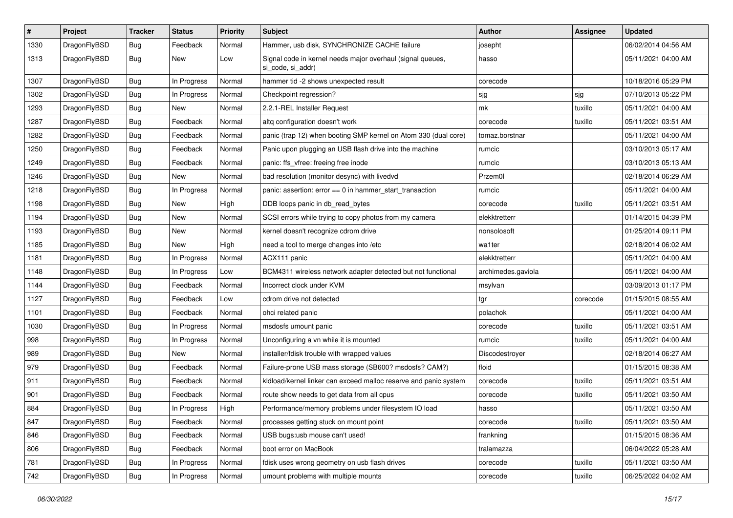| $\sharp$ | Project      | <b>Tracker</b> | <b>Status</b> | <b>Priority</b> | Subject                                                                         | <b>Author</b>      | Assignee | <b>Updated</b>      |
|----------|--------------|----------------|---------------|-----------------|---------------------------------------------------------------------------------|--------------------|----------|---------------------|
| 1330     | DragonFlyBSD | Bug            | Feedback      | Normal          | Hammer, usb disk, SYNCHRONIZE CACHE failure                                     | josepht            |          | 06/02/2014 04:56 AM |
| 1313     | DragonFlyBSD | <b>Bug</b>     | New           | Low             | Signal code in kernel needs major overhaul (signal queues,<br>si code, si addr) | hasso              |          | 05/11/2021 04:00 AM |
| 1307     | DragonFlyBSD | <b>Bug</b>     | In Progress   | Normal          | hammer tid -2 shows unexpected result                                           | corecode           |          | 10/18/2016 05:29 PM |
| 1302     | DragonFlyBSD | Bug            | In Progress   | Normal          | Checkpoint regression?                                                          | sjg                | sjg      | 07/10/2013 05:22 PM |
| 1293     | DragonFlyBSD | <b>Bug</b>     | New           | Normal          | 2.2.1-REL Installer Request                                                     | mk                 | tuxillo  | 05/11/2021 04:00 AM |
| 1287     | DragonFlyBSD | Bug            | Feedback      | Normal          | altg configuration doesn't work                                                 | corecode           | tuxillo  | 05/11/2021 03:51 AM |
| 1282     | DragonFlyBSD | <b>Bug</b>     | Feedback      | Normal          | panic (trap 12) when booting SMP kernel on Atom 330 (dual core)                 | tomaz.borstnar     |          | 05/11/2021 04:00 AM |
| 1250     | DragonFlyBSD | Bug            | Feedback      | Normal          | Panic upon plugging an USB flash drive into the machine                         | rumcic             |          | 03/10/2013 05:17 AM |
| 1249     | DragonFlyBSD | <b>Bug</b>     | Feedback      | Normal          | panic: ffs vfree: freeing free inode                                            | rumcic             |          | 03/10/2013 05:13 AM |
| 1246     | DragonFlyBSD | <b>Bug</b>     | New           | Normal          | bad resolution (monitor desync) with livedvd                                    | Przem0l            |          | 02/18/2014 06:29 AM |
| 1218     | DragonFlyBSD | Bug            | In Progress   | Normal          | panic: assertion: error == 0 in hammer_start_transaction                        | rumcic             |          | 05/11/2021 04:00 AM |
| 1198     | DragonFlyBSD | <b>Bug</b>     | New           | High            | DDB loops panic in db_read_bytes                                                | corecode           | tuxillo  | 05/11/2021 03:51 AM |
| 1194     | DragonFlyBSD | Bug            | <b>New</b>    | Normal          | SCSI errors while trying to copy photos from my camera                          | elekktretterr      |          | 01/14/2015 04:39 PM |
| 1193     | DragonFlyBSD | Bug            | New           | Normal          | kernel doesn't recognize cdrom drive                                            | nonsolosoft        |          | 01/25/2014 09:11 PM |
| 1185     | DragonFlyBSD | <b>Bug</b>     | <b>New</b>    | High            | need a tool to merge changes into /etc                                          | wa1ter             |          | 02/18/2014 06:02 AM |
| 1181     | DragonFlyBSD | <b>Bug</b>     | In Progress   | Normal          | ACX111 panic                                                                    | elekktretterr      |          | 05/11/2021 04:00 AM |
| 1148     | DragonFlyBSD | Bug            | In Progress   | Low             | BCM4311 wireless network adapter detected but not functional                    | archimedes.gaviola |          | 05/11/2021 04:00 AM |
| 1144     | DragonFlyBSD | <b>Bug</b>     | Feedback      | Normal          | Incorrect clock under KVM                                                       | msylvan            |          | 03/09/2013 01:17 PM |
| 1127     | DragonFlyBSD | <b>Bug</b>     | Feedback      | Low             | cdrom drive not detected                                                        | tgr                | corecode | 01/15/2015 08:55 AM |
| 1101     | DragonFlyBSD | <b>Bug</b>     | Feedback      | Normal          | ohci related panic                                                              | polachok           |          | 05/11/2021 04:00 AM |
| 1030     | DragonFlyBSD | <b>Bug</b>     | In Progress   | Normal          | msdosfs umount panic                                                            | corecode           | tuxillo  | 05/11/2021 03:51 AM |
| 998      | DragonFlyBSD | Bug            | In Progress   | Normal          | Unconfiguring a vn while it is mounted                                          | rumcic             | tuxillo  | 05/11/2021 04:00 AM |
| 989      | DragonFlyBSD | <b>Bug</b>     | New           | Normal          | installer/fdisk trouble with wrapped values                                     | Discodestroyer     |          | 02/18/2014 06:27 AM |
| 979      | DragonFlyBSD | Bug            | Feedback      | Normal          | Failure-prone USB mass storage (SB600? msdosfs? CAM?)                           | floid              |          | 01/15/2015 08:38 AM |
| 911      | DragonFlyBSD | <b>Bug</b>     | Feedback      | Normal          | kidload/kernel linker can exceed malloc reserve and panic system                | corecode           | tuxillo  | 05/11/2021 03:51 AM |
| 901      | DragonFlyBSD | Bug            | Feedback      | Normal          | route show needs to get data from all cpus                                      | corecode           | tuxillo  | 05/11/2021 03:50 AM |
| 884      | DragonFlyBSD | <b>Bug</b>     | In Progress   | High            | Performance/memory problems under filesystem IO load                            | hasso              |          | 05/11/2021 03:50 AM |
| 847      | DragonFlyBSD | <b>Bug</b>     | Feedback      | Normal          | processes getting stuck on mount point                                          | corecode           | tuxillo  | 05/11/2021 03:50 AM |
| 846      | DragonFlyBSD | <b>Bug</b>     | Feedback      | Normal          | USB bugs:usb mouse can't used!                                                  | frankning          |          | 01/15/2015 08:36 AM |
| 806      | DragonFlyBSD | <b>Bug</b>     | Feedback      | Normal          | boot error on MacBook                                                           | tralamazza         |          | 06/04/2022 05:28 AM |
| 781      | DragonFlyBSD | Bug            | In Progress   | Normal          | fdisk uses wrong geometry on usb flash drives                                   | corecode           | tuxillo  | 05/11/2021 03:50 AM |
| 742      | DragonFlyBSD | <b>Bug</b>     | In Progress   | Normal          | umount problems with multiple mounts                                            | corecode           | tuxillo  | 06/25/2022 04:02 AM |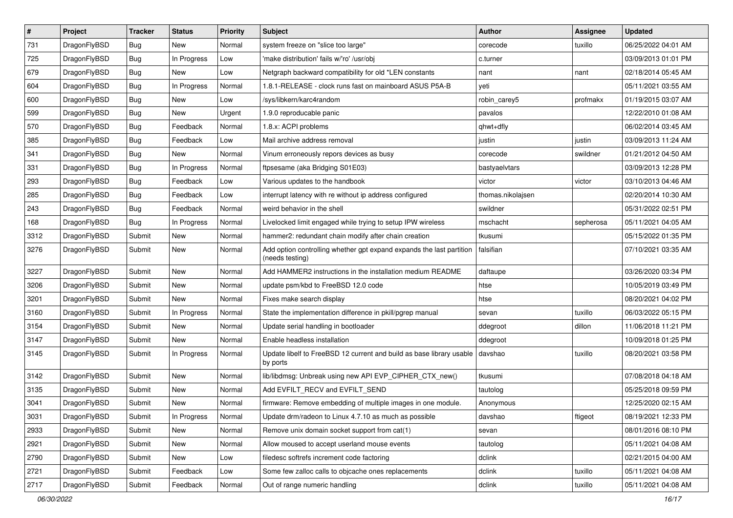| $\pmb{\#}$ | Project      | <b>Tracker</b> | <b>Status</b> | <b>Priority</b> | Subject                                                                                 | <b>Author</b>     | Assignee  | <b>Updated</b>      |
|------------|--------------|----------------|---------------|-----------------|-----------------------------------------------------------------------------------------|-------------------|-----------|---------------------|
| 731        | DragonFlyBSD | Bug            | <b>New</b>    | Normal          | system freeze on "slice too large"                                                      | corecode          | tuxillo   | 06/25/2022 04:01 AM |
| 725        | DragonFlyBSD | Bug            | In Progress   | Low             | 'make distribution' fails w/'ro' /usr/obj                                               | c.turner          |           | 03/09/2013 01:01 PM |
| 679        | DragonFlyBSD | Bug            | <b>New</b>    | Low             | Netgraph backward compatibility for old *LEN constants                                  | nant              | nant      | 02/18/2014 05:45 AM |
| 604        | DragonFlyBSD | <b>Bug</b>     | In Progress   | Normal          | 1.8.1-RELEASE - clock runs fast on mainboard ASUS P5A-B                                 | yeti              |           | 05/11/2021 03:55 AM |
| 600        | DragonFlyBSD | Bug            | New           | Low             | /sys/libkern/karc4random                                                                | robin carey5      | profmakx  | 01/19/2015 03:07 AM |
| 599        | DragonFlyBSD | Bug            | New           | Urgent          | 1.9.0 reproducable panic                                                                | pavalos           |           | 12/22/2010 01:08 AM |
| 570        | DragonFlyBSD | Bug            | Feedback      | Normal          | 1.8.x: ACPI problems                                                                    | qhwt+dfly         |           | 06/02/2014 03:45 AM |
| 385        | DragonFlyBSD | Bug            | Feedback      | Low             | Mail archive address removal                                                            | justin            | justin    | 03/09/2013 11:24 AM |
| 341        | DragonFlyBSD | <b>Bug</b>     | New           | Normal          | Vinum erroneously repors devices as busy                                                | corecode          | swildner  | 01/21/2012 04:50 AM |
| 331        | DragonFlyBSD | Bug            | In Progress   | Normal          | ftpsesame (aka Bridging S01E03)                                                         | bastyaelvtars     |           | 03/09/2013 12:28 PM |
| 293        | DragonFlyBSD | Bug            | Feedback      | Low             | Various updates to the handbook                                                         | victor            | victor    | 03/10/2013 04:46 AM |
| 285        | DragonFlyBSD | Bug            | Feedback      | Low             | interrupt latency with re without ip address configured                                 | thomas.nikolajsen |           | 02/20/2014 10:30 AM |
| 243        | DragonFlyBSD | Bug            | Feedback      | Normal          | weird behavior in the shell                                                             | swildner          |           | 05/31/2022 02:51 PM |
| 168        | DragonFlyBSD | Bug            | In Progress   | Normal          | Livelocked limit engaged while trying to setup IPW wireless                             | mschacht          | sepherosa | 05/11/2021 04:05 AM |
| 3312       | DragonFlyBSD | Submit         | <b>New</b>    | Normal          | hammer2: redundant chain modify after chain creation                                    | tkusumi           |           | 05/15/2022 01:35 PM |
| 3276       | DragonFlyBSD | Submit         | <b>New</b>    | Normal          | Add option controlling whether gpt expand expands the last partition<br>(needs testing) | falsifian         |           | 07/10/2021 03:35 AM |
| 3227       | DragonFlyBSD | Submit         | New           | Normal          | Add HAMMER2 instructions in the installation medium README                              | daftaupe          |           | 03/26/2020 03:34 PM |
| 3206       | DragonFlyBSD | Submit         | <b>New</b>    | Normal          | update psm/kbd to FreeBSD 12.0 code                                                     | htse              |           | 10/05/2019 03:49 PM |
| 3201       | DragonFlyBSD | Submit         | <b>New</b>    | Normal          | Fixes make search display                                                               | htse              |           | 08/20/2021 04:02 PM |
| 3160       | DragonFlyBSD | Submit         | In Progress   | Normal          | State the implementation difference in pkill/pgrep manual                               | sevan             | tuxillo   | 06/03/2022 05:15 PM |
| 3154       | DragonFlyBSD | Submit         | <b>New</b>    | Normal          | Update serial handling in bootloader                                                    | ddegroot          | dillon    | 11/06/2018 11:21 PM |
| 3147       | DragonFlyBSD | Submit         | <b>New</b>    | Normal          | Enable headless installation                                                            | ddegroot          |           | 10/09/2018 01:25 PM |
| 3145       | DragonFlyBSD | Submit         | In Progress   | Normal          | Update libelf to FreeBSD 12 current and build as base library usable<br>by ports        | davshao           | tuxillo   | 08/20/2021 03:58 PM |
| 3142       | DragonFlyBSD | Submit         | New           | Normal          | lib/libdmsg: Unbreak using new API EVP_CIPHER_CTX_new()                                 | tkusumi           |           | 07/08/2018 04:18 AM |
| 3135       | DragonFlyBSD | Submit         | New           | Normal          | Add EVFILT_RECV and EVFILT_SEND                                                         | tautolog          |           | 05/25/2018 09:59 PM |
| 3041       | DragonFlyBSD | Submit         | <b>New</b>    | Normal          | firmware: Remove embedding of multiple images in one module.                            | Anonymous         |           | 12/25/2020 02:15 AM |
| 3031       | DragonFlyBSD | Submit         | In Progress   | Normal          | Update drm/radeon to Linux 4.7.10 as much as possible                                   | davshao           | ftigeot   | 08/19/2021 12:33 PM |
| 2933       | DragonFlyBSD | Submit         | New           | Normal          | Remove unix domain socket support from cat(1)                                           | sevan             |           | 08/01/2016 08:10 PM |
| 2921       | DragonFlyBSD | Submit         | New           | Normal          | Allow moused to accept userland mouse events                                            | tautolog          |           | 05/11/2021 04:08 AM |
| 2790       | DragonFlyBSD | Submit         | New           | Low             | filedesc softrefs increment code factoring                                              | dclink            |           | 02/21/2015 04:00 AM |
| 2721       | DragonFlyBSD | Submit         | Feedback      | Low             | Some few zalloc calls to objcache ones replacements                                     | dclink            | tuxillo   | 05/11/2021 04:08 AM |
| 2717       | DragonFlyBSD | Submit         | Feedback      | Normal          | Out of range numeric handling                                                           | dclink            | tuxillo   | 05/11/2021 04:08 AM |